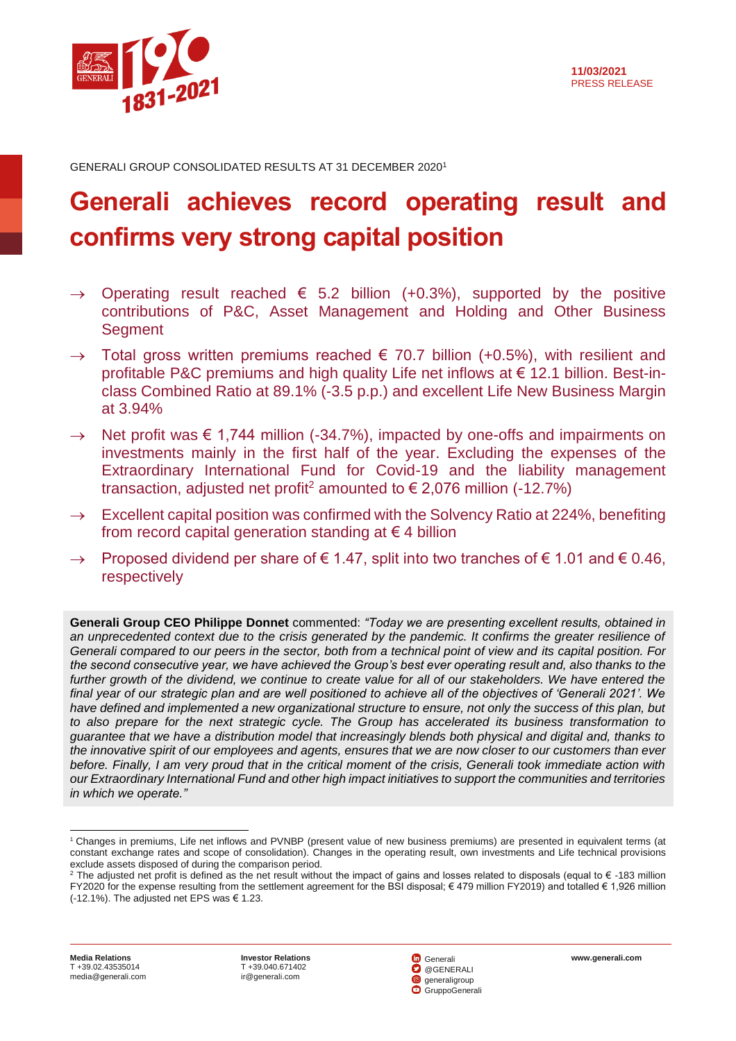

GENERALI GROUP CONSOLIDATED RESULTS AT 31 DECEMBER 2020<sup>1</sup>

# **Generali achieves record operating result and confirms very strong capital position**

- $\rightarrow$  Operating result reached  $\epsilon$  5.2 billion (+0.3%), supported by the positive contributions of P&C, Asset Management and Holding and Other Business **Segment**
- $\rightarrow$  Total gross written premiums reached  $\epsilon$  70.7 billion (+0.5%), with resilient and profitable P&C premiums and high quality Life net inflows at € 12.1 billion. Best-inclass Combined Ratio at 89.1% (-3.5 p.p.) and excellent Life New Business Margin at 3.94%
- $\rightarrow$  Net profit was  $\epsilon$  1,744 million (-34.7%), impacted by one-offs and impairments on investments mainly in the first half of the year. Excluding the expenses of the Extraordinary International Fund for Covid-19 and the liability management transaction, adjusted net profit<sup>2</sup> amounted to  $\epsilon$  2,076 million (-12.7%)
- $\rightarrow$  Excellent capital position was confirmed with the Solvency Ratio at 224%, benefiting from record capital generation standing at  $\epsilon$  4 billion
- Proposed dividend per share of  $\epsilon$  1.47, split into two tranches of  $\epsilon$  1.01 and  $\epsilon$  0.46, respectively

**Generali Group CEO Philippe Donnet** commented: *"Today we are presenting excellent results, obtained in an unprecedented context due to the crisis generated by the pandemic. It confirms the greater resilience of Generali compared to our peers in the sector, both from a technical point of view and its capital position. For the second consecutive year, we have achieved the Group's best ever operating result and, also thanks to the further growth of the dividend, we continue to create value for all of our stakeholders. We have entered the final year of our strategic plan and are well positioned to achieve all of the objectives of 'Generali 2021'. We have defined and implemented a new organizational structure to ensure, not only the success of this plan, but to also prepare for the next strategic cycle. The Group has accelerated its business transformation to guarantee that we have a distribution model that increasingly blends both physical and digital and, thanks to the innovative spirit of our employees and agents, ensures that we are now closer to our customers than ever before. Finally, I am very proud that in the critical moment of the crisis, Generali took immediate action with our Extraordinary International Fund and other high impact initiatives to support the communities and territories in which we operate."*



l <sup>1</sup> Changes in premiums, Life net inflows and PVNBP (present value of new business premiums) are presented in equivalent terms (at constant exchange rates and scope of consolidation). Changes in the operating result, own investments and Life technical provisions exclude assets disposed of during the comparison period.

<sup>&</sup>lt;sup>2</sup> The adjusted net profit is defined as the net result without the impact of gains and losses related to disposals (equal to € -183 million FY2020 for the expense resulting from the settlement agreement for the BSI disposal; € 479 million FY2019) and totalled € 1,926 million (-12.1%). The adjusted net EPS was  $\in$  1.23.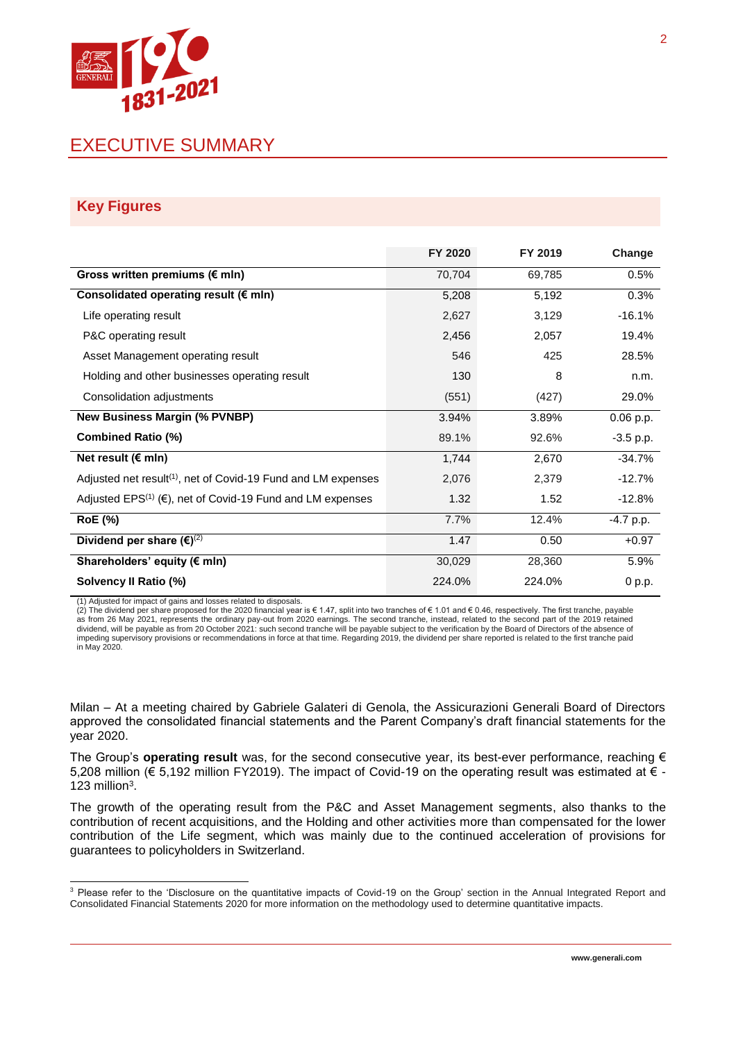

## EXECUTIVE SUMMARY

#### **Key Figures**

|                                                                                  | FY 2020 | FY 2019 | Change      |
|----------------------------------------------------------------------------------|---------|---------|-------------|
| Gross written premiums (€ mln)                                                   | 70,704  | 69,785  | 0.5%        |
| Consolidated operating result ( $\epsilon$ mln)                                  | 5,208   | 5,192   | 0.3%        |
| Life operating result                                                            | 2,627   | 3,129   | $-16.1%$    |
| P&C operating result                                                             | 2,456   | 2,057   | 19.4%       |
| Asset Management operating result                                                | 546     | 425     | 28.5%       |
| Holding and other businesses operating result                                    | 130     | 8       | n.m.        |
| Consolidation adjustments                                                        | (551)   | (427)   | 29.0%       |
| <b>New Business Margin (% PVNBP)</b>                                             | 3.94%   | 3.89%   | $0.06$ p.p. |
| <b>Combined Ratio (%)</b>                                                        | 89.1%   | 92.6%   | $-3.5$ p.p. |
| Net result ( $\notin$ mln)                                                       | 1,744   | 2,670   | $-34.7%$    |
| Adjusted net result <sup>(1)</sup> , net of Covid-19 Fund and LM expenses        | 2,076   | 2,379   | $-12.7%$    |
| Adjusted EPS <sup>(1)</sup> ( $\epsilon$ ), net of Covid-19 Fund and LM expenses | 1.32    | 1.52    | $-12.8%$    |
| <b>RoE</b> (%)                                                                   | 7.7%    | 12.4%   | $-4.7$ p.p. |
| Dividend per share $(\epsilon)^{(2)}$                                            | 1.47    | 0.50    | $+0.97$     |
| Shareholders' equity (€ mln)                                                     | 30,029  | 28,360  | 5.9%        |
| Solvency II Ratio (%)                                                            | 224.0%  | 224.0%  | 0 p.p.      |

(1) Adjusted for impact of gains and losses related to disposals.

l

(2) The dividend per share proposed for the 2020 financial year is € 1.47, split into two tranches of € 1.01 and € 0.46, respectively. The first tranche, payable as from 26 May 2021, represents the ordinary pay-out from 2020 earnings. The second tranche, instead, related to the second part of the 2019 retained<br>dividend, will be payable as from 20 October 2021: such second tranche w impeding supervisory provisions or recommendations in force at that time. Regarding 2019, the dividend per share reported is related to the first tranche paid in May 2020.

Milan – At a meeting chaired by Gabriele Galateri di Genola, the Assicurazioni Generali Board of Directors approved the consolidated financial statements and the Parent Company's draft financial statements for the year 2020.

The Group's **operating result** was, for the second consecutive year, its best-ever performance, reaching € 5,208 million (€ 5,192 million FY2019). The impact of Covid-19 on the operating result was estimated at € - 123 million $3$ .

The growth of the operating result from the P&C and Asset Management segments, also thanks to the contribution of recent acquisitions, and the Holding and other activities more than compensated for the lower contribution of the Life segment, which was mainly due to the continued acceleration of provisions for guarantees to policyholders in Switzerland.

<sup>&</sup>lt;sup>3</sup> Please refer to the 'Disclosure on the quantitative impacts of Covid-19 on the Group' section in the Annual Integrated Report and Consolidated Financial Statements 2020 for more information on the methodology used to determine quantitative impacts.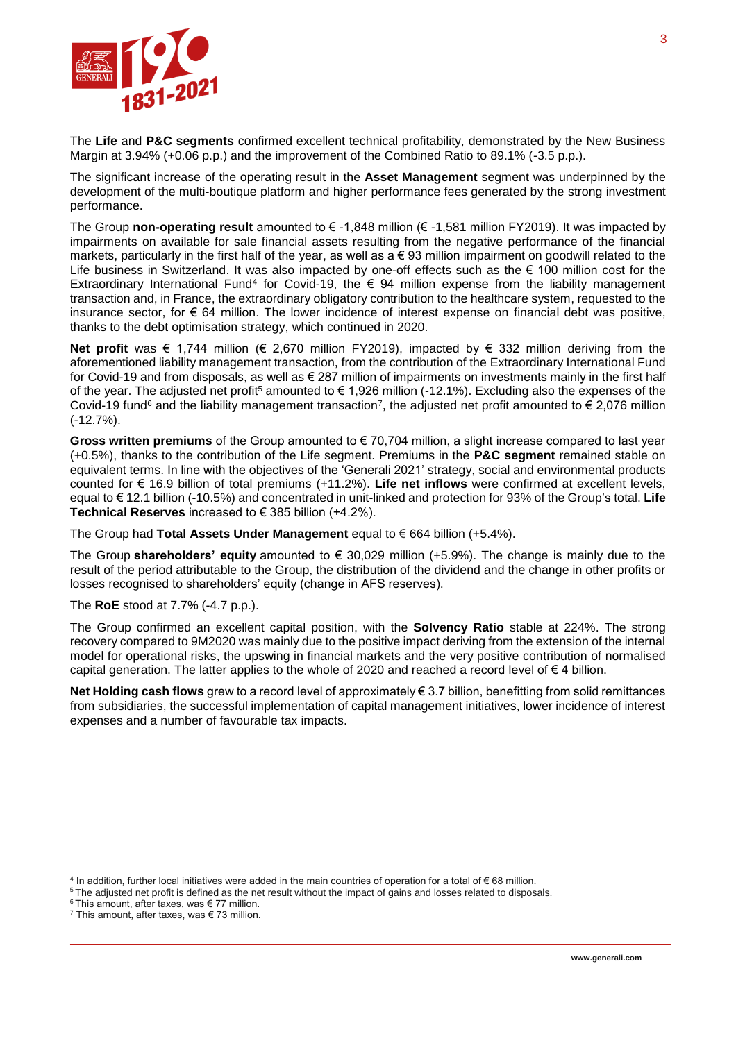

The **Life** and **P&C segments** confirmed excellent technical profitability, demonstrated by the New Business Margin at 3.94% (+0.06 p.p.) and the improvement of the Combined Ratio to 89.1% (-3.5 p.p.).

The significant increase of the operating result in the **Asset Management** segment was underpinned by the development of the multi-boutique platform and higher performance fees generated by the strong investment performance.

The Group **non-operating result** amounted to € -1,848 million (€ -1,581 million FY2019). It was impacted by impairments on available for sale financial assets resulting from the negative performance of the financial markets, particularly in the first half of the year, as well as  $a \in 93$  million impairment on goodwill related to the Life business in Switzerland. It was also impacted by one-off effects such as the € 100 million cost for the Extraordinary International Fund<sup>4</sup> for Covid-19, the € 94 million expense from the liability management transaction and, in France, the extraordinary obligatory contribution to the healthcare system, requested to the insurance sector, for  $\epsilon$  64 million. The lower incidence of interest expense on financial debt was positive, thanks to the debt optimisation strategy, which continued in 2020.

**Net profit** was € 1,744 million (€ 2,670 million FY2019), impacted by € 332 million deriving from the aforementioned liability management transaction, from the contribution of the Extraordinary International Fund for Covid-19 and from disposals, as well as € 287 million of impairments on investments mainly in the first half of the year. The adjusted net profit<sup>5</sup> amounted to  $\epsilon$  1,926 million (-12.1%). Excluding also the expenses of the Covid-19 fund<sup>6</sup> and the liability management transaction<sup>7</sup>, the adjusted net profit amounted to € 2,076 million (-12.7%).

**Gross written premiums** of the Group amounted to € 70,704 million, a slight increase compared to last year (+0.5%), thanks to the contribution of the Life segment. Premiums in the **P&C segment** remained stable on equivalent terms. In line with the objectives of the 'Generali 2021' strategy, social and environmental products counted for € 16.9 billion of total premiums (+11.2%). **Life net inflows** were confirmed at excellent levels, equal to € 12.1 billion (-10.5%) and concentrated in unit-linked and protection for 93% of the Group's total. **Life Technical Reserves** increased to € 385 billion (+4.2%).

The Group had **Total Assets Under Management** equal to € 664 billion (+5.4%).

The Group **shareholders' equity** amounted to € 30,029 million (+5.9%). The change is mainly due to the result of the period attributable to the Group, the distribution of the dividend and the change in other profits or losses recognised to shareholders' equity (change in AFS reserves).

#### The **RoE** stood at 7.7% (-4.7 p.p.).

The Group confirmed an excellent capital position, with the **Solvency Ratio** stable at 224%. The strong recovery compared to 9M2020 was mainly due to the positive impact deriving from the extension of the internal model for operational risks, the upswing in financial markets and the very positive contribution of normalised capital generation. The latter applies to the whole of 2020 and reached a record level of  $\epsilon$  4 billion.

**Net Holding cash flows** grew to a record level of approximately € 3.7 billion, benefitting from solid remittances from subsidiaries, the successful implementation of capital management initiatives, lower incidence of interest expenses and a number of favourable tax impacts.

 4 In addition, further local initiatives were added in the main countries of operation for a total of € 68 million.

<sup>&</sup>lt;sup>5</sup> The adjusted net profit is defined as the net result without the impact of gains and losses related to disposals.

 $6$  This amount, after taxes, was  $\in$  77 million.

 $7$  This amount, after taxes, was  $\in$  73 million.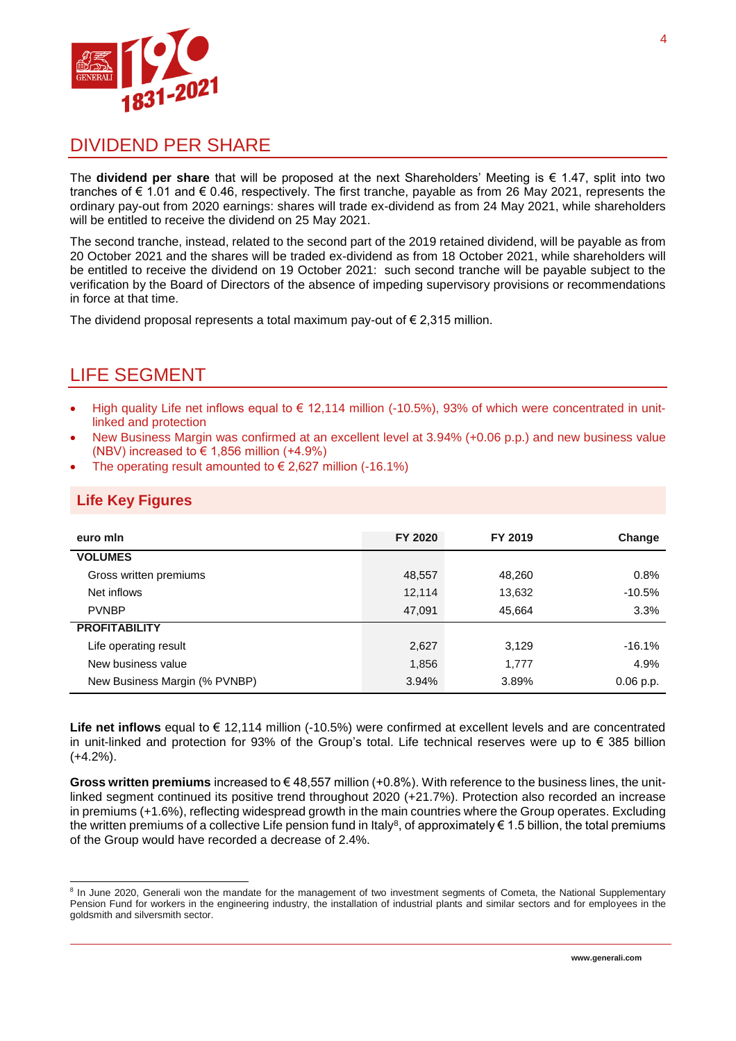

## DIVIDEND PER SHARE

The **dividend per share** that will be proposed at the next Shareholders' Meeting is € 1.47, split into two tranches of € 1.01 and € 0.46, respectively. The first tranche, payable as from 26 May 2021, represents the ordinary pay-out from 2020 earnings: shares will trade ex-dividend as from 24 May 2021, while shareholders will be entitled to receive the dividend on 25 May 2021.

The second tranche, instead, related to the second part of the 2019 retained dividend, will be payable as from 20 October 2021 and the shares will be traded ex-dividend as from 18 October 2021, while shareholders will be entitled to receive the dividend on 19 October 2021: such second tranche will be payable subject to the verification by the Board of Directors of the absence of impeding supervisory provisions or recommendations in force at that time.

The dividend proposal represents a total maximum pay-out of  $\epsilon$  2.315 million.

# LIFE SEGMENT

- High quality Life net inflows equal to  $\in$  12,114 million (-10.5%), 93% of which were concentrated in unitlinked and protection
- New Business Margin was confirmed at an excellent level at 3.94% (+0.06 p.p.) and new business value (NBV) increased to  $\in$  1,856 million (+4.9%)
- The operating result amounted to  $\in$  2,627 million (-16.1%)

#### **Life Key Figures**

l

| euro min                      | FY 2020 | FY 2019 | Change      |
|-------------------------------|---------|---------|-------------|
| <b>VOLUMES</b>                |         |         |             |
| Gross written premiums        | 48,557  | 48,260  | 0.8%        |
| Net inflows                   | 12,114  | 13,632  | $-10.5%$    |
| <b>PVNBP</b>                  | 47,091  | 45,664  | 3.3%        |
| <b>PROFITABILITY</b>          |         |         |             |
| Life operating result         | 2,627   | 3,129   | $-16.1%$    |
| New business value            | 1,856   | 1,777   | 4.9%        |
| New Business Margin (% PVNBP) | 3.94%   | 3.89%   | $0.06$ p.p. |

**Life net inflows** equal to € 12,114 million (-10.5%) were confirmed at excellent levels and are concentrated in unit-linked and protection for 93% of the Group's total. Life technical reserves were up to  $\epsilon$  385 billion (+4.2%).

**Gross written premiums** increased to € 48,557 million (+0.8%). With reference to the business lines, the unitlinked segment continued its positive trend throughout 2020 (+21.7%). Protection also recorded an increase in premiums (+1.6%), reflecting widespread growth in the main countries where the Group operates. Excluding the written premiums of a collective Life pension fund in Italy $^8$ , of approximately  $\in$  1.5 billion, the total premiums of the Group would have recorded a decrease of 2.4%.

<sup>&</sup>lt;sup>8</sup> In June 2020, Generali won the mandate for the management of two investment segments of Cometa, the National Supplementary Pension Fund for workers in the engineering industry, the installation of industrial plants and similar sectors and for employees in the goldsmith and silversmith sector.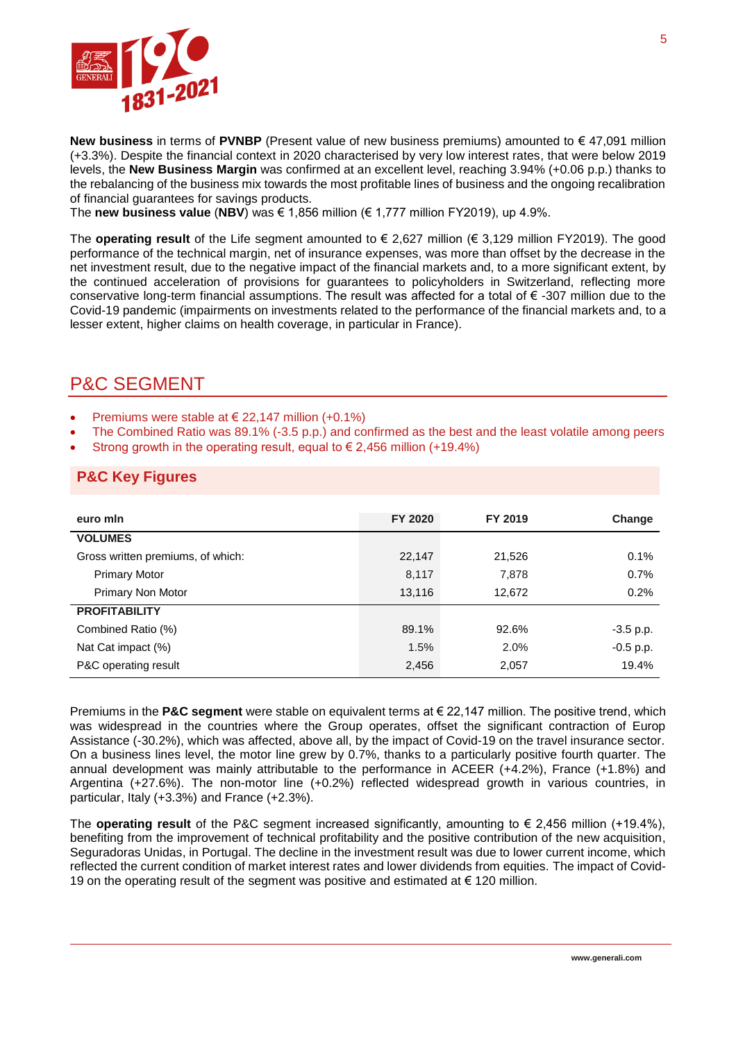

**New business** in terms of **PVNBP** (Present value of new business premiums) amounted to € 47,091 million (+3.3%). Despite the financial context in 2020 characterised by very low interest rates, that were below 2019 levels, the **New Business Margin** was confirmed at an excellent level, reaching 3.94% (+0.06 p.p.) thanks to the rebalancing of the business mix towards the most profitable lines of business and the ongoing recalibration of financial guarantees for savings products.

The **new business value** (**NBV**) was € 1,856 million (€ 1,777 million FY2019), up 4.9%.

The **operating result** of the Life segment amounted to € 2,627 million (€ 3,129 million FY2019). The good performance of the technical margin, net of insurance expenses, was more than offset by the decrease in the net investment result, due to the negative impact of the financial markets and, to a more significant extent, by the continued acceleration of provisions for guarantees to policyholders in Switzerland, reflecting more conservative long-term financial assumptions. The result was affected for a total of € -307 million due to the Covid-19 pandemic (impairments on investments related to the performance of the financial markets and, to a lesser extent, higher claims on health coverage, in particular in France).

# P&C SEGMENT

- Premiums were stable at  $\in$  22,147 million (+0.1%)
- The Combined Ratio was 89.1% (-3.5 p.p.) and confirmed as the best and the least volatile among peers
- Strong growth in the operating result, equal to  $\epsilon$  2,456 million (+19.4%)

#### **P&C Key Figures**

| euro min                          | FY 2020 | FY 2019 | Change      |
|-----------------------------------|---------|---------|-------------|
| <b>VOLUMES</b>                    |         |         |             |
| Gross written premiums, of which: | 22,147  | 21,526  | 0.1%        |
| <b>Primary Motor</b>              | 8,117   | 7,878   | 0.7%        |
| Primary Non Motor                 | 13,116  | 12,672  | 0.2%        |
| <b>PROFITABILITY</b>              |         |         |             |
| Combined Ratio (%)                | 89.1%   | 92.6%   | $-3.5$ p.p. |
| Nat Cat impact (%)                | 1.5%    | 2.0%    | $-0.5$ p.p. |
| P&C operating result              | 2,456   | 2,057   | 19.4%       |

Premiums in the **P&C segment** were stable on equivalent terms at € 22,147 million. The positive trend, which was widespread in the countries where the Group operates, offset the significant contraction of Europ Assistance (-30.2%), which was affected, above all, by the impact of Covid-19 on the travel insurance sector. On a business lines level, the motor line grew by 0.7%, thanks to a particularly positive fourth quarter. The annual development was mainly attributable to the performance in ACEER (+4.2%), France (+1.8%) and Argentina (+27.6%). The non-motor line (+0.2%) reflected widespread growth in various countries, in particular, Italy (+3.3%) and France (+2.3%).

The **operating result** of the P&C segment increased significantly, amounting to  $\epsilon$  2,456 million (+19.4%), benefiting from the improvement of technical profitability and the positive contribution of the new acquisition, Seguradoras Unidas, in Portugal. The decline in the investment result was due to lower current income, which reflected the current condition of market interest rates and lower dividends from equities. The impact of Covid-19 on the operating result of the segment was positive and estimated at € 120 million.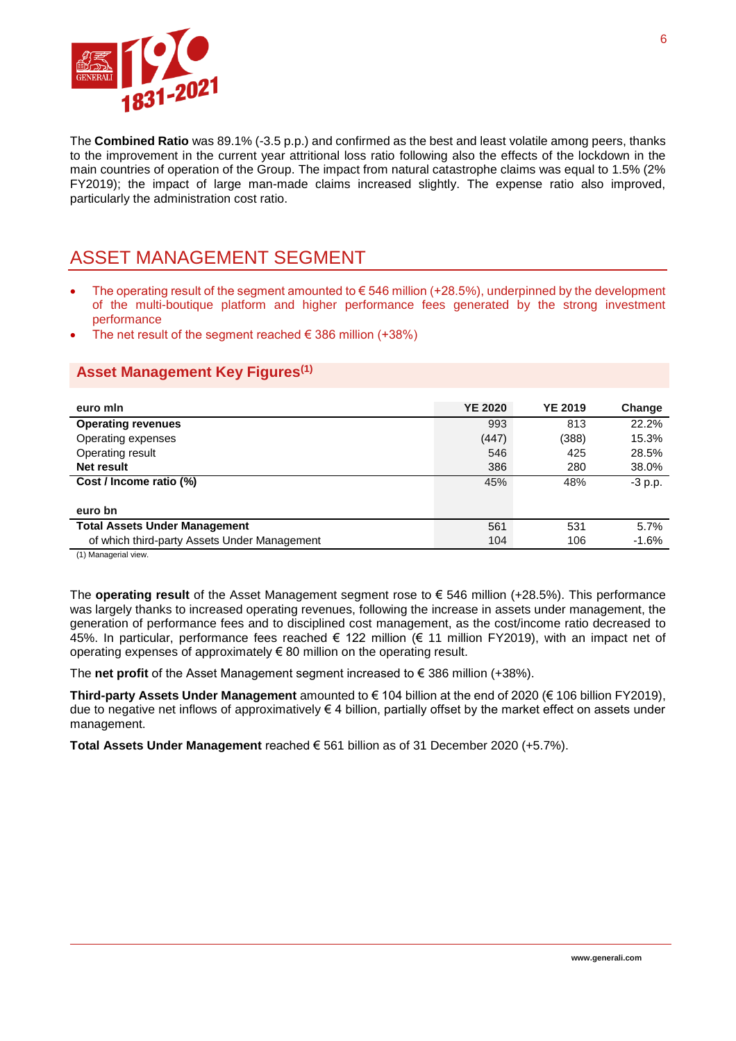

The **Combined Ratio** was 89.1% (-3.5 p.p.) and confirmed as the best and least volatile among peers, thanks to the improvement in the current year attritional loss ratio following also the effects of the lockdown in the main countries of operation of the Group. The impact from natural catastrophe claims was equal to 1.5% (2% FY2019); the impact of large man-made claims increased slightly. The expense ratio also improved, particularly the administration cost ratio.

### ASSET MANAGEMENT SEGMENT

- The operating result of the segment amounted to  $\epsilon$  546 million (+28.5%), underpinned by the development of the multi-boutique platform and higher performance fees generated by the strong investment performance
- The net result of the segment reached  $\epsilon$  386 million (+38%)

#### **Asset Management Key Figures(1)**

| <b>YE 2020</b> | <b>YE 2019</b> | Change    |
|----------------|----------------|-----------|
| 993            | 813            | 22.2%     |
| (447)          | (388)          | 15.3%     |
| 546            | 425            | 28.5%     |
| 386            | 280            | 38.0%     |
| 45%            | 48%            | $-3$ p.p. |
|                |                |           |
|                |                |           |
| 561            | 531            | 5.7%      |
| 104            | 106            | $-1.6%$   |
|                |                |           |

(1) Managerial view.

The **operating result** of the Asset Management segment rose to € 546 million (+28.5%). This performance was largely thanks to increased operating revenues, following the increase in assets under management, the generation of performance fees and to disciplined cost management, as the cost/income ratio decreased to 45%. In particular, performance fees reached € 122 million (€ 11 million FY2019), with an impact net of operating expenses of approximately € 80 million on the operating result.

The **net profit** of the Asset Management segment increased to  $\epsilon$  386 million (+38%).

**Third-party Assets Under Management** amounted to € 104 billion at the end of 2020 (€ 106 billion FY2019), due to negative net inflows of approximatively € 4 billion, partially offset by the market effect on assets under management.

**Total Assets Under Management** reached € 561 billion as of 31 December 2020 (+5.7%).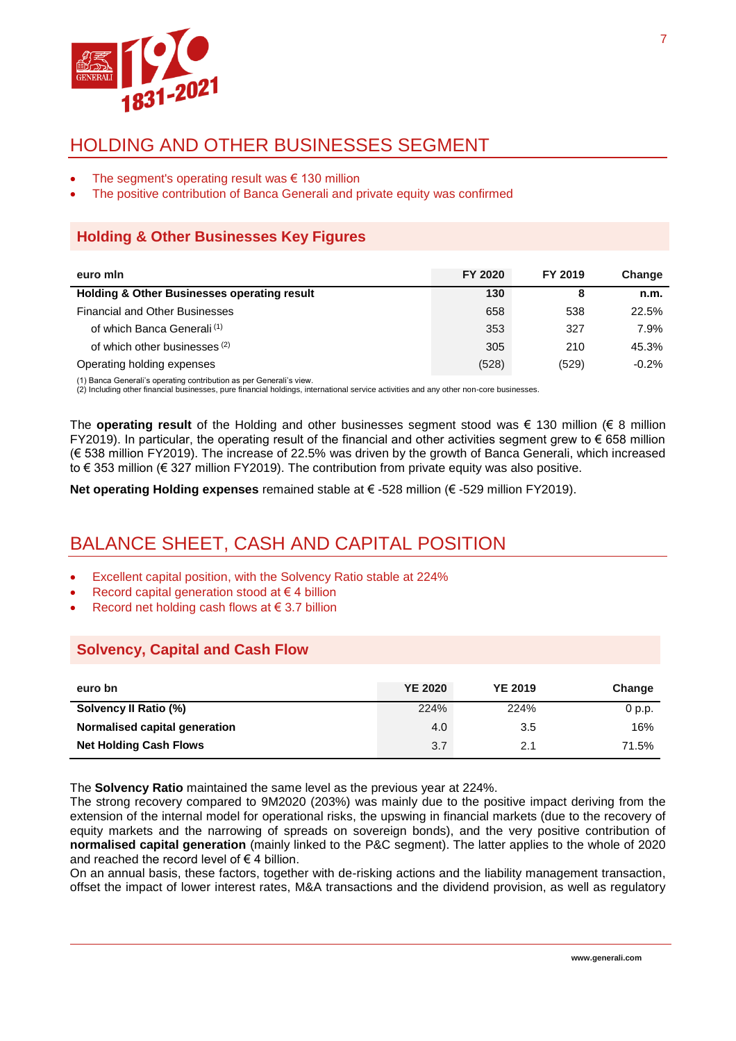

# HOLDING AND OTHER BUSINESSES SEGMENT

- The segment's operating result was  $\epsilon$  130 million
- The positive contribution of Banca Generali and private equity was confirmed

#### **Holding & Other Businesses Key Figures**

| euro min                                               | FY 2020 | FY 2019 | Change  |
|--------------------------------------------------------|---------|---------|---------|
| <b>Holding &amp; Other Businesses operating result</b> | 130     | 8       | n.m.    |
| <b>Financial and Other Businesses</b>                  | 658     | 538     | 22.5%   |
| of which Banca Generali <sup>(1)</sup>                 | 353     | 327     | 7.9%    |
| of which other businesses (2)                          | 305     | 210     | 45.3%   |
| Operating holding expenses                             | (528)   | (529)   | $-0.2%$ |

(1) Banca Generali's operating contribution as per Generali's view.

(2) Including other financial businesses, pure financial holdings, international service activities and any other non-core businesses.

The **operating result** of the Holding and other businesses segment stood was € 130 million (€ 8 million FY2019). In particular, the operating result of the financial and other activities segment grew to € 658 million (€ 538 million FY2019). The increase of 22.5% was driven by the growth of Banca Generali, which increased to € 353 million (€ 327 million FY2019). The contribution from private equity was also positive.

**Net operating Holding expenses** remained stable at € -528 million (€ -529 million FY2019).

# BALANCE SHEET, CASH AND CAPITAL POSITION

- Excellent capital position, with the Solvency Ratio stable at 224%
- Record capital generation stood at € 4 billion
- Record net holding cash flows at € 3.7 billion

#### **Solvency, Capital and Cash Flow**

| euro bn                       | <b>YE 2020</b> | <b>YE 2019</b> | Change            |
|-------------------------------|----------------|----------------|-------------------|
| Solvency II Ratio (%)         | 224%           | 224%           | 0 <sub>p.p.</sub> |
| Normalised capital generation | 4.0            | 3.5            | 16%               |
| <b>Net Holding Cash Flows</b> | 3.7            | 2.1            | 71.5%             |

The **Solvency Ratio** maintained the same level as the previous year at 224%.

The strong recovery compared to 9M2020 (203%) was mainly due to the positive impact deriving from the extension of the internal model for operational risks, the upswing in financial markets (due to the recovery of equity markets and the narrowing of spreads on sovereign bonds), and the very positive contribution of **normalised capital generation** (mainly linked to the P&C segment). The latter applies to the whole of 2020 and reached the record level of  $\epsilon$  4 billion.

On an annual basis, these factors, together with de-risking actions and the liability management transaction, offset the impact of lower interest rates, M&A transactions and the dividend provision, as well as regulatory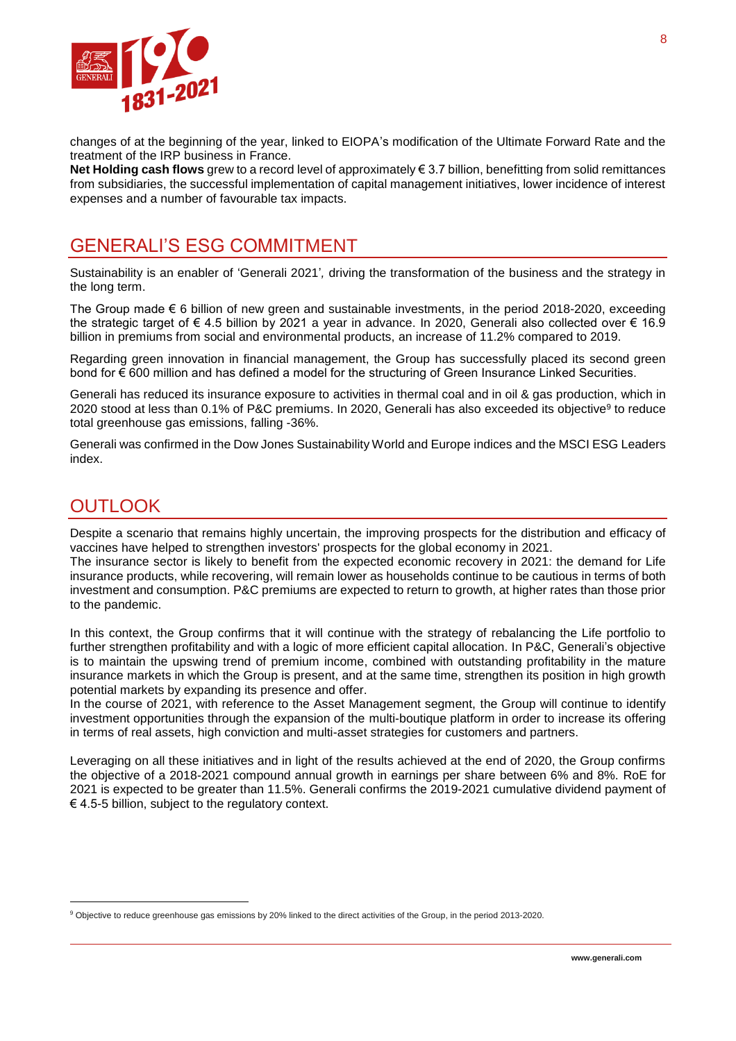

changes of at the beginning of the year, linked to EIOPA's modification of the Ultimate Forward Rate and the treatment of the IRP business in France.

**Net Holding cash flows** grew to a record level of approximately € 3.7 billion, benefitting from solid remittances from subsidiaries, the successful implementation of capital management initiatives, lower incidence of interest expenses and a number of favourable tax impacts.

## GENERALI'S ESG COMMITMENT

Sustainability is an enabler of 'Generali 2021'*,* driving the transformation of the business and the strategy in the long term.

The Group made  $\epsilon$  6 billion of new green and sustainable investments, in the period 2018-2020, exceeding the strategic target of € 4.5 billion by 2021 a year in advance. In 2020, Generali also collected over € 16.9 billion in premiums from social and environmental products, an increase of 11.2% compared to 2019.

Regarding green innovation in financial management, the Group has successfully placed its second green bond for € 600 million and has defined a model for the structuring of Green Insurance Linked Securities.

Generali has reduced its insurance exposure to activities in thermal coal and in oil & gas production, which in 2020 stood at less than 0.1% of P&C premiums. In 2020, Generali has also exceeded its objective<sup>9</sup> to reduce total greenhouse gas emissions, falling -36%.

Generali was confirmed in the Dow Jones Sustainability World and Europe indices and the MSCI ESG Leaders index.

### **OUTLOOK**

l

Despite a scenario that remains highly uncertain, the improving prospects for the distribution and efficacy of vaccines have helped to strengthen investors' prospects for the global economy in 2021.

The insurance sector is likely to benefit from the expected economic recovery in 2021: the demand for Life insurance products, while recovering, will remain lower as households continue to be cautious in terms of both investment and consumption. P&C premiums are expected to return to growth, at higher rates than those prior to the pandemic.

In this context, the Group confirms that it will continue with the strategy of rebalancing the Life portfolio to further strengthen profitability and with a logic of more efficient capital allocation. In P&C, Generali's objective is to maintain the upswing trend of premium income, combined with outstanding profitability in the mature insurance markets in which the Group is present, and at the same time, strengthen its position in high growth potential markets by expanding its presence and offer.

In the course of 2021, with reference to the Asset Management segment, the Group will continue to identify investment opportunities through the expansion of the multi-boutique platform in order to increase its offering in terms of real assets, high conviction and multi-asset strategies for customers and partners.

Leveraging on all these initiatives and in light of the results achieved at the end of 2020, the Group confirms the objective of a 2018-2021 compound annual growth in earnings per share between 6% and 8%. RoE for 2021 is expected to be greater than 11.5%. Generali confirms the 2019-2021 cumulative dividend payment of € 4.5-5 billion, subject to the regulatory context.

<sup>9</sup> Objective to reduce greenhouse gas emissions by 20% linked to the direct activities of the Group, in the period 2013-2020.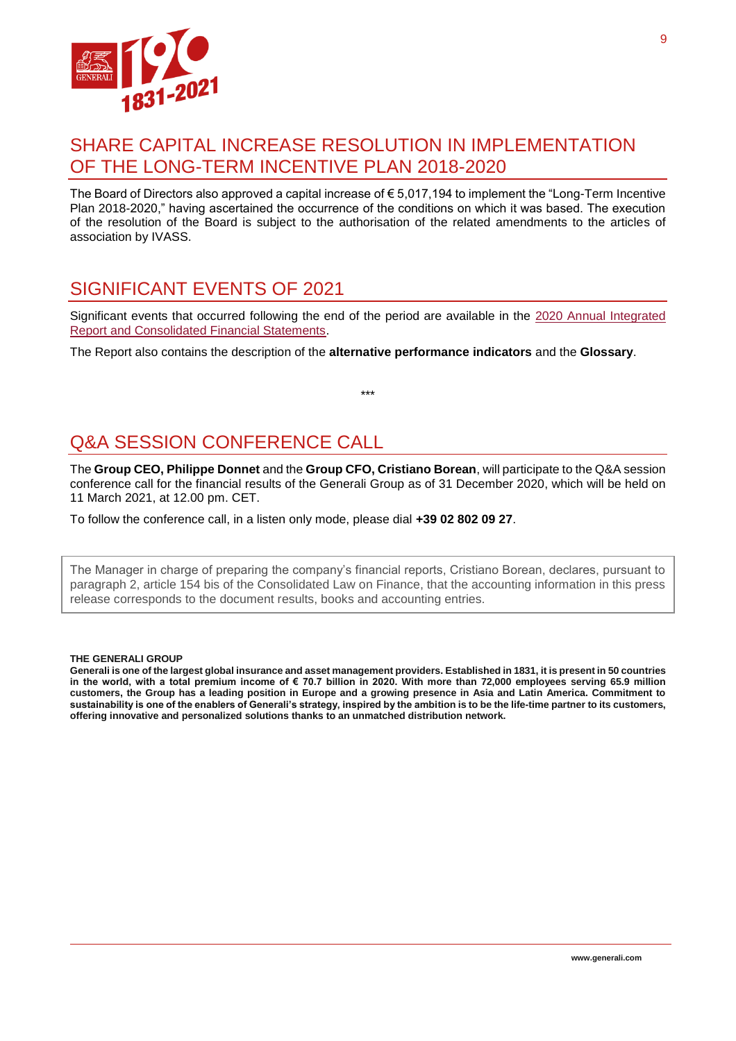

### SHARE CAPITAL INCREASE RESOLUTION IN IMPLEMENTATION OF THE LONG-TERM INCENTIVE PLAN 2018-2020

The Board of Directors also approved a capital increase of € 5,017,194 to implement the "Long-Term Incentive Plan 2018-2020," having ascertained the occurrence of the conditions on which it was based. The execution of the resolution of the Board is subject to the authorisation of the related amendments to the articles of association by IVASS.

# SIGNIFICANT EVENTS OF 2021

Significant events that occurred following the end of the period are available in the 2020 [Annual Integrated](https://www.generali.com/info/download-center/results#2020)  [Report and Consolidated Financial Statements.](https://www.generali.com/info/download-center/results#2020)

\*\*\*

The Report also contains the description of the **alternative performance indicators** and the **Glossary**.

# Q&A SESSION CONFERENCE CALL

The **Group CEO, Philippe Donnet** and the **Group CFO, Cristiano Borean**, will participate to the Q&A session conference call for the financial results of the Generali Group as of 31 December 2020, which will be held on 11 March 2021, at 12.00 pm. CET.

To follow the conference call, in a listen only mode, please dial **+39 02 802 09 27**.

The Manager in charge of preparing the company's financial reports, Cristiano Borean, declares, pursuant to paragraph 2, article 154 bis of the Consolidated Law on Finance, that the accounting information in this press release corresponds to the document results, books and accounting entries.

#### **THE GENERALI GROUP**

**Generali is one of the largest global insurance and asset management providers. Established in 1831, it is present in 50 countries in the world, with a total premium income of € 70.7 billion in 2020. With more than 72,000 employees serving 65.9 million customers, the Group has a leading position in Europe and a growing presence in Asia and Latin America. Commitment to sustainability is one of the enablers of Generali's strategy, inspired by the ambition is to be the life-time partner to its customers, offering innovative and personalized solutions thanks to an unmatched distribution network.**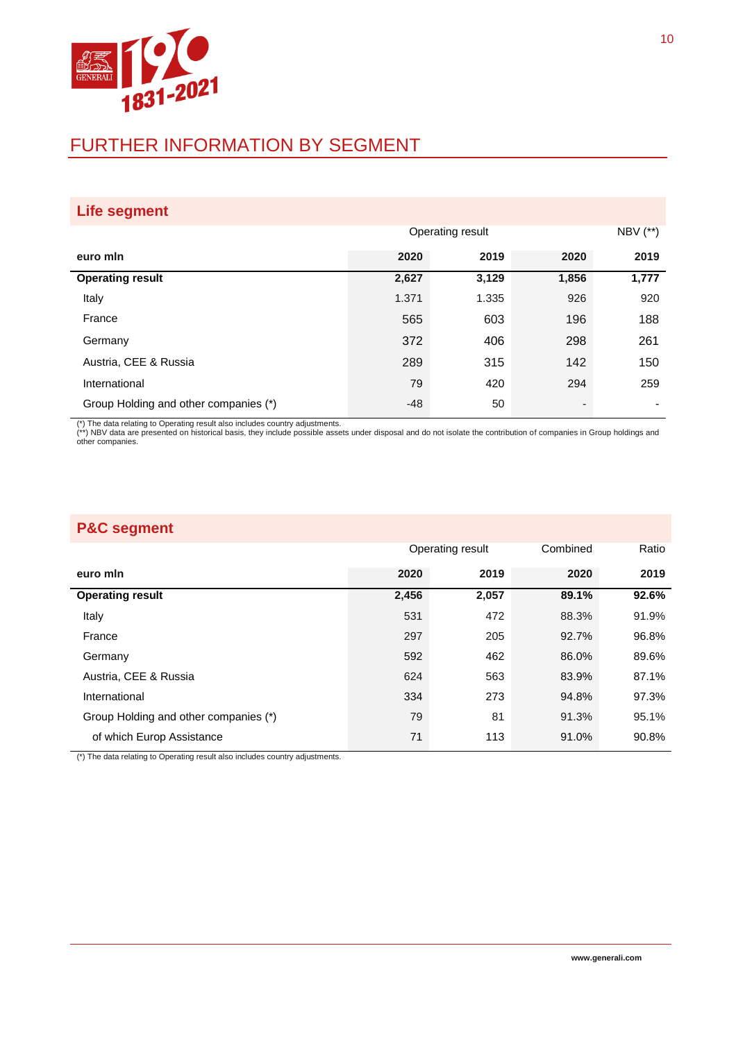

# FURTHER INFORMATION BY SEGMENT

| Life segment                          |       |                  |                          |           |  |  |
|---------------------------------------|-------|------------------|--------------------------|-----------|--|--|
|                                       |       | Operating result |                          | NBV $(*)$ |  |  |
| euro min                              | 2020  | 2019             | 2020                     | 2019      |  |  |
| <b>Operating result</b>               | 2,627 | 3,129            | 1,856                    | 1,777     |  |  |
| Italy                                 | 1.371 | 1.335            | 926                      | 920       |  |  |
| France                                | 565   | 603              | 196                      | 188       |  |  |
| Germany                               | 372   | 406              | 298                      | 261       |  |  |
| Austria, CEE & Russia                 | 289   | 315              | 142                      | 150       |  |  |
| International                         | 79    | 420              | 294                      | 259       |  |  |
| Group Holding and other companies (*) | -48   | 50               | $\overline{\phantom{a}}$ |           |  |  |

(\*) The data relating to Operating result also includes country adjustments.<br>(\*\*) NBV data are presented on historical basis, they include possible assets under disposal and do not isolate the contribution of companies in

| <b>P&amp;C segment</b>                |       |                  |          |       |  |  |  |
|---------------------------------------|-------|------------------|----------|-------|--|--|--|
|                                       |       | Operating result | Combined | Ratio |  |  |  |
| euro min                              | 2020  | 2019             | 2020     | 2019  |  |  |  |
| <b>Operating result</b>               | 2,456 | 2,057            | 89.1%    | 92.6% |  |  |  |
| Italy                                 | 531   | 472              | 88.3%    | 91.9% |  |  |  |
| France                                | 297   | 205              | 92.7%    | 96.8% |  |  |  |
| Germany                               | 592   | 462              | 86.0%    | 89.6% |  |  |  |
| Austria, CEE & Russia                 | 624   | 563              | 83.9%    | 87.1% |  |  |  |
| International                         | 334   | 273              | 94.8%    | 97.3% |  |  |  |
| Group Holding and other companies (*) | 79    | 81               | 91.3%    | 95.1% |  |  |  |
| of which Europ Assistance             | 71    | 113              | 91.0%    | 90.8% |  |  |  |

(\*) The data relating to Operating result also includes country adjustments.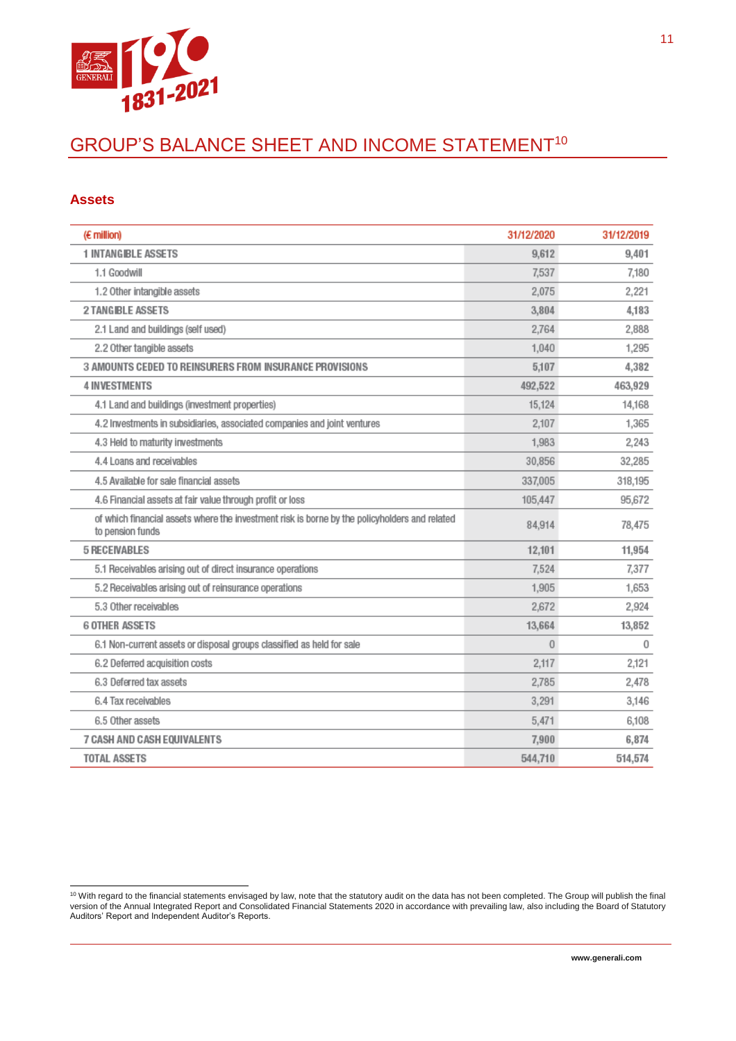

# GROUP'S BALANCE SHEET AND INCOME STATEMENT<sup>10</sup>

#### **Assets**

| $(E \text{ million})$                                                                                             | 31/12/2020     | 31/12/2019 |
|-------------------------------------------------------------------------------------------------------------------|----------------|------------|
| <b>1 INTANGIBLE ASSETS</b>                                                                                        | 9,612          | 9,401      |
| 1.1 Goodwill                                                                                                      | 7,537          | 7,180      |
| 1.2 Other intangible assets                                                                                       | 2,075          | 2,221      |
| <b>2 TANGIBLE ASSETS</b>                                                                                          | 3,804          | 4,183      |
| 2.1 Land and buildings (self used)                                                                                | 2.764          | 2,888      |
| 2.2 Other tangible assets                                                                                         | 1,040          | 1,295      |
| 3 AMOUNTS CEDED TO REINSURERS FROM INSURANCE PROVISIONS                                                           | 5.107          | 4,382      |
| <b>4 INVESTMENTS</b>                                                                                              | 492,522        | 463,929    |
| 4.1 Land and buildings (investment properties)                                                                    | 15,124         | 14,168     |
| 4.2 Investments in subsidiaries, associated companies and joint ventures                                          | 2,107          | 1,365      |
| 4.3 Held to maturity investments                                                                                  | 1,983          | 2,243      |
| 4.4 Loans and receivables                                                                                         | 30,856         | 32,285     |
| 4.5 Available for sale financial assets                                                                           | 337,005        | 318,195    |
| 4.6 Financial assets at fair value through profit or loss                                                         | 105,447        | 95,672     |
| of which financial assets where the investment risk is borne by the policyholders and related<br>to pension funds | 84,914         | 78,475     |
| <b>5 RECEIVABLES</b>                                                                                              | 12,101         | 11,954     |
| 5.1 Receivables arising out of direct insurance operations                                                        | 7.524          | 7,377      |
| 5.2 Receivables arising out of reinsurance operations                                                             | 1,905          | 1,653      |
| 5.3 Other receivables                                                                                             | 2,672          | 2,924      |
| <b>6 OTHER ASSETS</b>                                                                                             | 13,664         | 13,852     |
| 6.1 Non-current assets or disposal groups classified as held for sale                                             | $\overline{0}$ | 0          |
| 6.2 Deferred acquisition costs                                                                                    | 2.117          | 2,121      |
| 6.3 Deferred tax assets                                                                                           | 2,785          | 2,478      |
| 6.4 Tax receivables                                                                                               | 3,291          | 3,146      |
| 6.5 Other assets                                                                                                  | 5,471          | 6,108      |
| 7 CASH AND CASH EQUIVALENTS                                                                                       | 7,900          | 6,874      |
| <b>TOTAL ASSETS</b>                                                                                               | 544,710        | 514,574    |

l <sup>10</sup> With regard to the financial statements envisaged by law, note that the statutory audit on the data has not been completed. The Group will publish the final version of the Annual Integrated Report and Consolidated Financial Statements 2020 in accordance with prevailing law, also including the Board of Statutory Auditors' Report and Independent Auditor's Reports.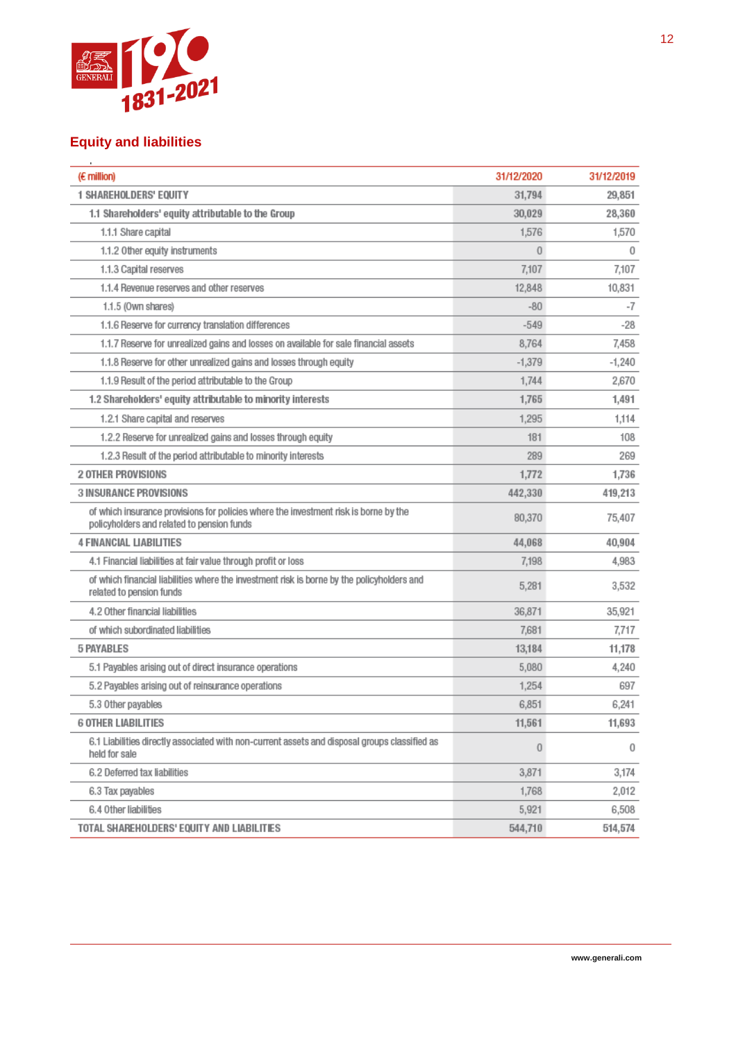

#### **Equity and liabilities**

| (E million)                                                                                                                        | 31/12/2020     | 31/12/2019 |
|------------------------------------------------------------------------------------------------------------------------------------|----------------|------------|
| <b>1 SHAREHOLDERS' EQUITY</b>                                                                                                      | 31,794         | 29,851     |
| 1.1 Shareholders' equity attributable to the Group                                                                                 | 30,029         | 28,360     |
| 1.1.1 Share capital                                                                                                                | 1,576          | 1,570      |
| 1.1.2 Other equity instruments                                                                                                     | $\Omega$       | 0          |
| 1.1.3 Capital reserves                                                                                                             | 7,107          | 7,107      |
| 1.1.4 Revenue reserves and other reserves                                                                                          | 12,848         | 10,831     |
| 1.1.5 (Own shares)                                                                                                                 | $-80$          | -7         |
| 1.1.6 Reserve for currency translation differences                                                                                 | $-549$         | -28        |
| 1.1.7 Reserve for unrealized gains and losses on available for sale financial assets                                               | 8,764          | 7,458      |
| 1.1.8 Reserve for other unrealized gains and losses through equity                                                                 | $-1,379$       | $-1,240$   |
| 1.1.9 Result of the period attributable to the Group                                                                               | 1,744          | 2,670      |
| 1.2 Shareholders' equity attributable to minority interests                                                                        | 1,765          | 1,491      |
| 1.2.1 Share capital and reserves                                                                                                   | 1,295          | 1.114      |
| 1.2.2 Reserve for unrealized gains and losses through equity                                                                       | 181            | 108        |
| 1.2.3 Result of the period attributable to minority interests                                                                      | 289            | 269        |
| <b>2 OTHER PROVISIONS</b>                                                                                                          | 1,772          | 1,736      |
| <b>3 INSURANCE PROVISIONS</b>                                                                                                      | 442,330        | 419,213    |
| of which insurance provisions for policies where the investment risk is borne by the<br>policyholders and related to pension funds | 80,370         | 75,407     |
| <b>4 FINANCIAL LIABILITIES</b>                                                                                                     | 44,068         | 40,904     |
| 4.1 Financial liabilities at fair value through profit or loss                                                                     | 7.198          | 4,983      |
| of which financial liabilities where the investment risk is borne by the policyholders and<br>related to pension funds             | 5,281          | 3,532      |
| 4.2 Other financial liabilities                                                                                                    | 36,871         | 35,921     |
| of which subordinated liabilities                                                                                                  | 7,681          | 7,717      |
| <b>5 PAYABLES</b>                                                                                                                  | 13,184         | 11,178     |
| 5.1 Payables arising out of direct insurance operations                                                                            | 5,080          | 4,240      |
| 5.2 Payables arising out of reinsurance operations                                                                                 | 1,254          | 697        |
| 5.3 Other payables                                                                                                                 | 6,851          | 6,241      |
| <b>6 OTHER LIABILITIES</b>                                                                                                         | 11,561         | 11,693     |
| 6.1 Liabilities directly associated with non-current assets and disposal groups classified as<br>held for sale                     | $\overline{0}$ | 0          |
| 6.2 Deferred tax liabilities                                                                                                       | 3,871          | 3,174      |
| 6.3 Tax payables                                                                                                                   | 1,768          | 2,012      |
| 6.4 Other liabilities                                                                                                              | 5,921          | 6,508      |
| TOTAL SHAREHOLDERS' EQUITY AND LIABILITIES                                                                                         | 544,710        | 514,574    |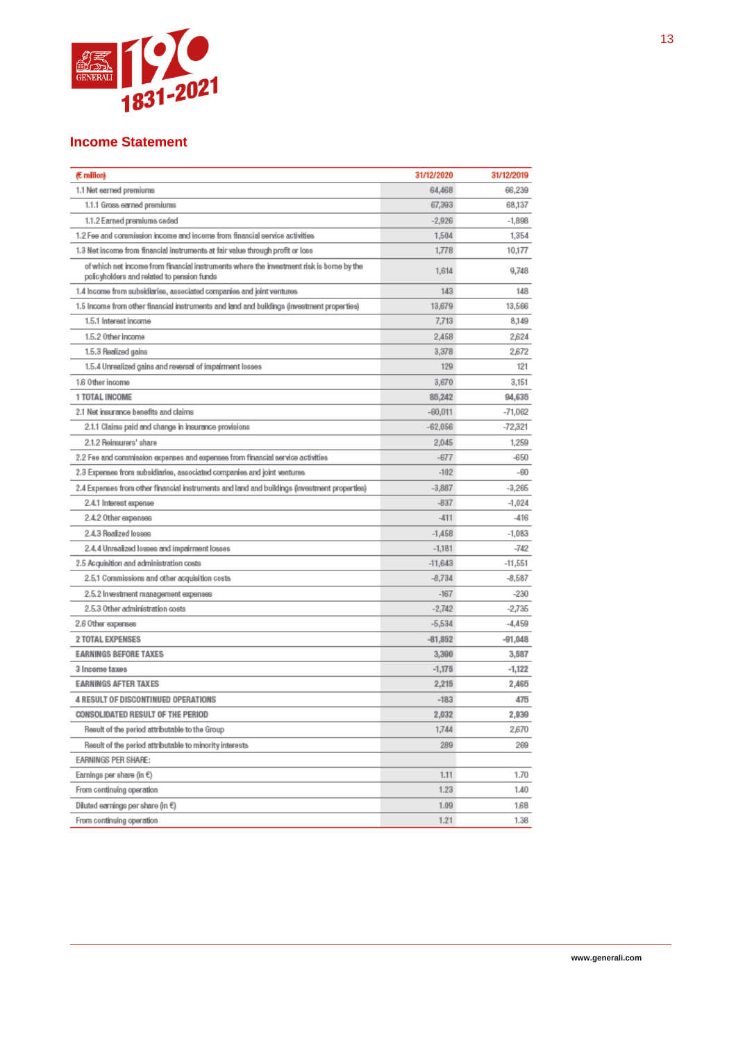

#### **Income Statement**

| 64,468<br>66,239<br>1.1 Net earned premiums<br>68,137<br>1.1.1 Gross earned premiums<br>67,393<br>$-2,926$<br>$-1,898$<br>1.1.2 Earned premiums ceded<br>1,354<br>1.2 Fee and commission income and income from financial service activities<br>1,504<br>1.3 Net income from financial instruments at fair value through profit or loss<br>1,778<br>10,177<br>of which net income from financial instruments where the investment risk is borne by the<br>1,614<br>9,748<br>policyholders and related to pension funds<br>143<br>1.4 Income from subsidiaries, associated companies and joint ventures<br>148<br>13,679<br>1.5 Income from other financial instruments and land and buildings (investment properties)<br>13,566<br>7,713<br>1.5.1 Interest income<br>8,149<br>1.5.2 Other income<br>2,458<br>2,624<br>1.5.3 Realized gains<br>3,378<br>2,672<br>1.5.4 Unrealized gains and reversal of impairment losses<br>129<br>121<br>3,670<br>3,151<br>1.6 Other income<br>1 TOTAL INCOME<br>85,242<br>94,635<br>2.1 Net insurance benefits and claims<br>$-60,011$<br>$-71,062$<br>$-72,321$<br>2.1.1 Claims paid and change in insurance provisions<br>$-62,056$<br>2.1.2 Reinsurers' share<br>2,045<br>1,259<br>2.2 Fee and commission expenses and expenses from financial service activities<br>$-677$<br>$-650$<br>2.3 Expenses from subsidiaries, associated companies and joint ventures<br>$-102$<br>$-60$<br>$-3,887$<br>$-3,265$<br>(2.4 Expenses from other financial instruments and land and buildings (investment properties<br>$-837$<br>$-1,024$<br>2.4.1 Interest expense<br>2.4.2 Other expenses<br>$-411$<br>$-416$<br>2.4.3 Realized losses<br>$-1,083$<br>$-1,458$<br>$-742$<br>2.4.4 Unrealized losses and impairment losses<br>$-1,181$<br>2.5 Acquisition and administration costs<br>$-11,643$<br>$-11,551$<br>$-8,734$<br>2.5.1 Commissions and other acquisition costs<br>$-8,587$<br>$-167$<br>$-230$<br>2.5.2 Investment management expenses<br>2.5.3 Other administration costs<br>$-2,742$<br>$-2,735$<br>$-5,534$<br>$-4,459$<br>2.6 Other expenses<br><b>2 TOTAL EXPENSES</b><br>$-81,852$<br>$-91,048$<br><b>EARNINGS BEFORE TAXES</b><br>3,390<br>3,587<br>3 Income taxes<br>$-1,175$<br>$-1,122$<br><b>EARNINGS AFTER TAXES</b><br>2,215<br>2,465<br><b>4 RESULT OF DISCONTINUED OPERATIONS</b><br>$-183$<br>475<br>CONSOLIDATED RESULT OF THE PERIOD<br>2,032<br>2,939<br>2,670<br>Result of the period attributable to the Group<br>1,744<br>289<br>Result of the period attributable to minority interests<br>269<br>EARNINGS PER SHARE:<br>Earnings per share (in €)<br>1.11<br>1.70<br>From continuing operation<br>1.23<br>1.40<br>Diluted earnings per share (in €)<br>1.09<br>1,68<br>From continuing operation<br>1.21<br>1.38 | (E million) | 31/12/2020 | 31/12/2019 |
|-----------------------------------------------------------------------------------------------------------------------------------------------------------------------------------------------------------------------------------------------------------------------------------------------------------------------------------------------------------------------------------------------------------------------------------------------------------------------------------------------------------------------------------------------------------------------------------------------------------------------------------------------------------------------------------------------------------------------------------------------------------------------------------------------------------------------------------------------------------------------------------------------------------------------------------------------------------------------------------------------------------------------------------------------------------------------------------------------------------------------------------------------------------------------------------------------------------------------------------------------------------------------------------------------------------------------------------------------------------------------------------------------------------------------------------------------------------------------------------------------------------------------------------------------------------------------------------------------------------------------------------------------------------------------------------------------------------------------------------------------------------------------------------------------------------------------------------------------------------------------------------------------------------------------------------------------------------------------------------------------------------------------------------------------------------------------------------------------------------------------------------------------------------------------------------------------------------------------------------------------------------------------------------------------------------------------------------------------------------------------------------------------------------------------------------------------------------------------------------------------------------------------------------------------------------------------------------------------------------------------------------------------------------------------------------------------------------------------------------------------------------------------------------|-------------|------------|------------|
|                                                                                                                                                                                                                                                                                                                                                                                                                                                                                                                                                                                                                                                                                                                                                                                                                                                                                                                                                                                                                                                                                                                                                                                                                                                                                                                                                                                                                                                                                                                                                                                                                                                                                                                                                                                                                                                                                                                                                                                                                                                                                                                                                                                                                                                                                                                                                                                                                                                                                                                                                                                                                                                                                                                                                                                   |             |            |            |
|                                                                                                                                                                                                                                                                                                                                                                                                                                                                                                                                                                                                                                                                                                                                                                                                                                                                                                                                                                                                                                                                                                                                                                                                                                                                                                                                                                                                                                                                                                                                                                                                                                                                                                                                                                                                                                                                                                                                                                                                                                                                                                                                                                                                                                                                                                                                                                                                                                                                                                                                                                                                                                                                                                                                                                                   |             |            |            |
|                                                                                                                                                                                                                                                                                                                                                                                                                                                                                                                                                                                                                                                                                                                                                                                                                                                                                                                                                                                                                                                                                                                                                                                                                                                                                                                                                                                                                                                                                                                                                                                                                                                                                                                                                                                                                                                                                                                                                                                                                                                                                                                                                                                                                                                                                                                                                                                                                                                                                                                                                                                                                                                                                                                                                                                   |             |            |            |
|                                                                                                                                                                                                                                                                                                                                                                                                                                                                                                                                                                                                                                                                                                                                                                                                                                                                                                                                                                                                                                                                                                                                                                                                                                                                                                                                                                                                                                                                                                                                                                                                                                                                                                                                                                                                                                                                                                                                                                                                                                                                                                                                                                                                                                                                                                                                                                                                                                                                                                                                                                                                                                                                                                                                                                                   |             |            |            |
|                                                                                                                                                                                                                                                                                                                                                                                                                                                                                                                                                                                                                                                                                                                                                                                                                                                                                                                                                                                                                                                                                                                                                                                                                                                                                                                                                                                                                                                                                                                                                                                                                                                                                                                                                                                                                                                                                                                                                                                                                                                                                                                                                                                                                                                                                                                                                                                                                                                                                                                                                                                                                                                                                                                                                                                   |             |            |            |
|                                                                                                                                                                                                                                                                                                                                                                                                                                                                                                                                                                                                                                                                                                                                                                                                                                                                                                                                                                                                                                                                                                                                                                                                                                                                                                                                                                                                                                                                                                                                                                                                                                                                                                                                                                                                                                                                                                                                                                                                                                                                                                                                                                                                                                                                                                                                                                                                                                                                                                                                                                                                                                                                                                                                                                                   |             |            |            |
|                                                                                                                                                                                                                                                                                                                                                                                                                                                                                                                                                                                                                                                                                                                                                                                                                                                                                                                                                                                                                                                                                                                                                                                                                                                                                                                                                                                                                                                                                                                                                                                                                                                                                                                                                                                                                                                                                                                                                                                                                                                                                                                                                                                                                                                                                                                                                                                                                                                                                                                                                                                                                                                                                                                                                                                   |             |            |            |
|                                                                                                                                                                                                                                                                                                                                                                                                                                                                                                                                                                                                                                                                                                                                                                                                                                                                                                                                                                                                                                                                                                                                                                                                                                                                                                                                                                                                                                                                                                                                                                                                                                                                                                                                                                                                                                                                                                                                                                                                                                                                                                                                                                                                                                                                                                                                                                                                                                                                                                                                                                                                                                                                                                                                                                                   |             |            |            |
|                                                                                                                                                                                                                                                                                                                                                                                                                                                                                                                                                                                                                                                                                                                                                                                                                                                                                                                                                                                                                                                                                                                                                                                                                                                                                                                                                                                                                                                                                                                                                                                                                                                                                                                                                                                                                                                                                                                                                                                                                                                                                                                                                                                                                                                                                                                                                                                                                                                                                                                                                                                                                                                                                                                                                                                   |             |            |            |
|                                                                                                                                                                                                                                                                                                                                                                                                                                                                                                                                                                                                                                                                                                                                                                                                                                                                                                                                                                                                                                                                                                                                                                                                                                                                                                                                                                                                                                                                                                                                                                                                                                                                                                                                                                                                                                                                                                                                                                                                                                                                                                                                                                                                                                                                                                                                                                                                                                                                                                                                                                                                                                                                                                                                                                                   |             |            |            |
|                                                                                                                                                                                                                                                                                                                                                                                                                                                                                                                                                                                                                                                                                                                                                                                                                                                                                                                                                                                                                                                                                                                                                                                                                                                                                                                                                                                                                                                                                                                                                                                                                                                                                                                                                                                                                                                                                                                                                                                                                                                                                                                                                                                                                                                                                                                                                                                                                                                                                                                                                                                                                                                                                                                                                                                   |             |            |            |
|                                                                                                                                                                                                                                                                                                                                                                                                                                                                                                                                                                                                                                                                                                                                                                                                                                                                                                                                                                                                                                                                                                                                                                                                                                                                                                                                                                                                                                                                                                                                                                                                                                                                                                                                                                                                                                                                                                                                                                                                                                                                                                                                                                                                                                                                                                                                                                                                                                                                                                                                                                                                                                                                                                                                                                                   |             |            |            |
|                                                                                                                                                                                                                                                                                                                                                                                                                                                                                                                                                                                                                                                                                                                                                                                                                                                                                                                                                                                                                                                                                                                                                                                                                                                                                                                                                                                                                                                                                                                                                                                                                                                                                                                                                                                                                                                                                                                                                                                                                                                                                                                                                                                                                                                                                                                                                                                                                                                                                                                                                                                                                                                                                                                                                                                   |             |            |            |
|                                                                                                                                                                                                                                                                                                                                                                                                                                                                                                                                                                                                                                                                                                                                                                                                                                                                                                                                                                                                                                                                                                                                                                                                                                                                                                                                                                                                                                                                                                                                                                                                                                                                                                                                                                                                                                                                                                                                                                                                                                                                                                                                                                                                                                                                                                                                                                                                                                                                                                                                                                                                                                                                                                                                                                                   |             |            |            |
|                                                                                                                                                                                                                                                                                                                                                                                                                                                                                                                                                                                                                                                                                                                                                                                                                                                                                                                                                                                                                                                                                                                                                                                                                                                                                                                                                                                                                                                                                                                                                                                                                                                                                                                                                                                                                                                                                                                                                                                                                                                                                                                                                                                                                                                                                                                                                                                                                                                                                                                                                                                                                                                                                                                                                                                   |             |            |            |
|                                                                                                                                                                                                                                                                                                                                                                                                                                                                                                                                                                                                                                                                                                                                                                                                                                                                                                                                                                                                                                                                                                                                                                                                                                                                                                                                                                                                                                                                                                                                                                                                                                                                                                                                                                                                                                                                                                                                                                                                                                                                                                                                                                                                                                                                                                                                                                                                                                                                                                                                                                                                                                                                                                                                                                                   |             |            |            |
|                                                                                                                                                                                                                                                                                                                                                                                                                                                                                                                                                                                                                                                                                                                                                                                                                                                                                                                                                                                                                                                                                                                                                                                                                                                                                                                                                                                                                                                                                                                                                                                                                                                                                                                                                                                                                                                                                                                                                                                                                                                                                                                                                                                                                                                                                                                                                                                                                                                                                                                                                                                                                                                                                                                                                                                   |             |            |            |
|                                                                                                                                                                                                                                                                                                                                                                                                                                                                                                                                                                                                                                                                                                                                                                                                                                                                                                                                                                                                                                                                                                                                                                                                                                                                                                                                                                                                                                                                                                                                                                                                                                                                                                                                                                                                                                                                                                                                                                                                                                                                                                                                                                                                                                                                                                                                                                                                                                                                                                                                                                                                                                                                                                                                                                                   |             |            |            |
|                                                                                                                                                                                                                                                                                                                                                                                                                                                                                                                                                                                                                                                                                                                                                                                                                                                                                                                                                                                                                                                                                                                                                                                                                                                                                                                                                                                                                                                                                                                                                                                                                                                                                                                                                                                                                                                                                                                                                                                                                                                                                                                                                                                                                                                                                                                                                                                                                                                                                                                                                                                                                                                                                                                                                                                   |             |            |            |
|                                                                                                                                                                                                                                                                                                                                                                                                                                                                                                                                                                                                                                                                                                                                                                                                                                                                                                                                                                                                                                                                                                                                                                                                                                                                                                                                                                                                                                                                                                                                                                                                                                                                                                                                                                                                                                                                                                                                                                                                                                                                                                                                                                                                                                                                                                                                                                                                                                                                                                                                                                                                                                                                                                                                                                                   |             |            |            |
|                                                                                                                                                                                                                                                                                                                                                                                                                                                                                                                                                                                                                                                                                                                                                                                                                                                                                                                                                                                                                                                                                                                                                                                                                                                                                                                                                                                                                                                                                                                                                                                                                                                                                                                                                                                                                                                                                                                                                                                                                                                                                                                                                                                                                                                                                                                                                                                                                                                                                                                                                                                                                                                                                                                                                                                   |             |            |            |
|                                                                                                                                                                                                                                                                                                                                                                                                                                                                                                                                                                                                                                                                                                                                                                                                                                                                                                                                                                                                                                                                                                                                                                                                                                                                                                                                                                                                                                                                                                                                                                                                                                                                                                                                                                                                                                                                                                                                                                                                                                                                                                                                                                                                                                                                                                                                                                                                                                                                                                                                                                                                                                                                                                                                                                                   |             |            |            |
|                                                                                                                                                                                                                                                                                                                                                                                                                                                                                                                                                                                                                                                                                                                                                                                                                                                                                                                                                                                                                                                                                                                                                                                                                                                                                                                                                                                                                                                                                                                                                                                                                                                                                                                                                                                                                                                                                                                                                                                                                                                                                                                                                                                                                                                                                                                                                                                                                                                                                                                                                                                                                                                                                                                                                                                   |             |            |            |
|                                                                                                                                                                                                                                                                                                                                                                                                                                                                                                                                                                                                                                                                                                                                                                                                                                                                                                                                                                                                                                                                                                                                                                                                                                                                                                                                                                                                                                                                                                                                                                                                                                                                                                                                                                                                                                                                                                                                                                                                                                                                                                                                                                                                                                                                                                                                                                                                                                                                                                                                                                                                                                                                                                                                                                                   |             |            |            |
|                                                                                                                                                                                                                                                                                                                                                                                                                                                                                                                                                                                                                                                                                                                                                                                                                                                                                                                                                                                                                                                                                                                                                                                                                                                                                                                                                                                                                                                                                                                                                                                                                                                                                                                                                                                                                                                                                                                                                                                                                                                                                                                                                                                                                                                                                                                                                                                                                                                                                                                                                                                                                                                                                                                                                                                   |             |            |            |
|                                                                                                                                                                                                                                                                                                                                                                                                                                                                                                                                                                                                                                                                                                                                                                                                                                                                                                                                                                                                                                                                                                                                                                                                                                                                                                                                                                                                                                                                                                                                                                                                                                                                                                                                                                                                                                                                                                                                                                                                                                                                                                                                                                                                                                                                                                                                                                                                                                                                                                                                                                                                                                                                                                                                                                                   |             |            |            |
|                                                                                                                                                                                                                                                                                                                                                                                                                                                                                                                                                                                                                                                                                                                                                                                                                                                                                                                                                                                                                                                                                                                                                                                                                                                                                                                                                                                                                                                                                                                                                                                                                                                                                                                                                                                                                                                                                                                                                                                                                                                                                                                                                                                                                                                                                                                                                                                                                                                                                                                                                                                                                                                                                                                                                                                   |             |            |            |
|                                                                                                                                                                                                                                                                                                                                                                                                                                                                                                                                                                                                                                                                                                                                                                                                                                                                                                                                                                                                                                                                                                                                                                                                                                                                                                                                                                                                                                                                                                                                                                                                                                                                                                                                                                                                                                                                                                                                                                                                                                                                                                                                                                                                                                                                                                                                                                                                                                                                                                                                                                                                                                                                                                                                                                                   |             |            |            |
|                                                                                                                                                                                                                                                                                                                                                                                                                                                                                                                                                                                                                                                                                                                                                                                                                                                                                                                                                                                                                                                                                                                                                                                                                                                                                                                                                                                                                                                                                                                                                                                                                                                                                                                                                                                                                                                                                                                                                                                                                                                                                                                                                                                                                                                                                                                                                                                                                                                                                                                                                                                                                                                                                                                                                                                   |             |            |            |
|                                                                                                                                                                                                                                                                                                                                                                                                                                                                                                                                                                                                                                                                                                                                                                                                                                                                                                                                                                                                                                                                                                                                                                                                                                                                                                                                                                                                                                                                                                                                                                                                                                                                                                                                                                                                                                                                                                                                                                                                                                                                                                                                                                                                                                                                                                                                                                                                                                                                                                                                                                                                                                                                                                                                                                                   |             |            |            |
|                                                                                                                                                                                                                                                                                                                                                                                                                                                                                                                                                                                                                                                                                                                                                                                                                                                                                                                                                                                                                                                                                                                                                                                                                                                                                                                                                                                                                                                                                                                                                                                                                                                                                                                                                                                                                                                                                                                                                                                                                                                                                                                                                                                                                                                                                                                                                                                                                                                                                                                                                                                                                                                                                                                                                                                   |             |            |            |
|                                                                                                                                                                                                                                                                                                                                                                                                                                                                                                                                                                                                                                                                                                                                                                                                                                                                                                                                                                                                                                                                                                                                                                                                                                                                                                                                                                                                                                                                                                                                                                                                                                                                                                                                                                                                                                                                                                                                                                                                                                                                                                                                                                                                                                                                                                                                                                                                                                                                                                                                                                                                                                                                                                                                                                                   |             |            |            |
|                                                                                                                                                                                                                                                                                                                                                                                                                                                                                                                                                                                                                                                                                                                                                                                                                                                                                                                                                                                                                                                                                                                                                                                                                                                                                                                                                                                                                                                                                                                                                                                                                                                                                                                                                                                                                                                                                                                                                                                                                                                                                                                                                                                                                                                                                                                                                                                                                                                                                                                                                                                                                                                                                                                                                                                   |             |            |            |
|                                                                                                                                                                                                                                                                                                                                                                                                                                                                                                                                                                                                                                                                                                                                                                                                                                                                                                                                                                                                                                                                                                                                                                                                                                                                                                                                                                                                                                                                                                                                                                                                                                                                                                                                                                                                                                                                                                                                                                                                                                                                                                                                                                                                                                                                                                                                                                                                                                                                                                                                                                                                                                                                                                                                                                                   |             |            |            |
|                                                                                                                                                                                                                                                                                                                                                                                                                                                                                                                                                                                                                                                                                                                                                                                                                                                                                                                                                                                                                                                                                                                                                                                                                                                                                                                                                                                                                                                                                                                                                                                                                                                                                                                                                                                                                                                                                                                                                                                                                                                                                                                                                                                                                                                                                                                                                                                                                                                                                                                                                                                                                                                                                                                                                                                   |             |            |            |
|                                                                                                                                                                                                                                                                                                                                                                                                                                                                                                                                                                                                                                                                                                                                                                                                                                                                                                                                                                                                                                                                                                                                                                                                                                                                                                                                                                                                                                                                                                                                                                                                                                                                                                                                                                                                                                                                                                                                                                                                                                                                                                                                                                                                                                                                                                                                                                                                                                                                                                                                                                                                                                                                                                                                                                                   |             |            |            |
|                                                                                                                                                                                                                                                                                                                                                                                                                                                                                                                                                                                                                                                                                                                                                                                                                                                                                                                                                                                                                                                                                                                                                                                                                                                                                                                                                                                                                                                                                                                                                                                                                                                                                                                                                                                                                                                                                                                                                                                                                                                                                                                                                                                                                                                                                                                                                                                                                                                                                                                                                                                                                                                                                                                                                                                   |             |            |            |
|                                                                                                                                                                                                                                                                                                                                                                                                                                                                                                                                                                                                                                                                                                                                                                                                                                                                                                                                                                                                                                                                                                                                                                                                                                                                                                                                                                                                                                                                                                                                                                                                                                                                                                                                                                                                                                                                                                                                                                                                                                                                                                                                                                                                                                                                                                                                                                                                                                                                                                                                                                                                                                                                                                                                                                                   |             |            |            |
|                                                                                                                                                                                                                                                                                                                                                                                                                                                                                                                                                                                                                                                                                                                                                                                                                                                                                                                                                                                                                                                                                                                                                                                                                                                                                                                                                                                                                                                                                                                                                                                                                                                                                                                                                                                                                                                                                                                                                                                                                                                                                                                                                                                                                                                                                                                                                                                                                                                                                                                                                                                                                                                                                                                                                                                   |             |            |            |
|                                                                                                                                                                                                                                                                                                                                                                                                                                                                                                                                                                                                                                                                                                                                                                                                                                                                                                                                                                                                                                                                                                                                                                                                                                                                                                                                                                                                                                                                                                                                                                                                                                                                                                                                                                                                                                                                                                                                                                                                                                                                                                                                                                                                                                                                                                                                                                                                                                                                                                                                                                                                                                                                                                                                                                                   |             |            |            |
|                                                                                                                                                                                                                                                                                                                                                                                                                                                                                                                                                                                                                                                                                                                                                                                                                                                                                                                                                                                                                                                                                                                                                                                                                                                                                                                                                                                                                                                                                                                                                                                                                                                                                                                                                                                                                                                                                                                                                                                                                                                                                                                                                                                                                                                                                                                                                                                                                                                                                                                                                                                                                                                                                                                                                                                   |             |            |            |
|                                                                                                                                                                                                                                                                                                                                                                                                                                                                                                                                                                                                                                                                                                                                                                                                                                                                                                                                                                                                                                                                                                                                                                                                                                                                                                                                                                                                                                                                                                                                                                                                                                                                                                                                                                                                                                                                                                                                                                                                                                                                                                                                                                                                                                                                                                                                                                                                                                                                                                                                                                                                                                                                                                                                                                                   |             |            |            |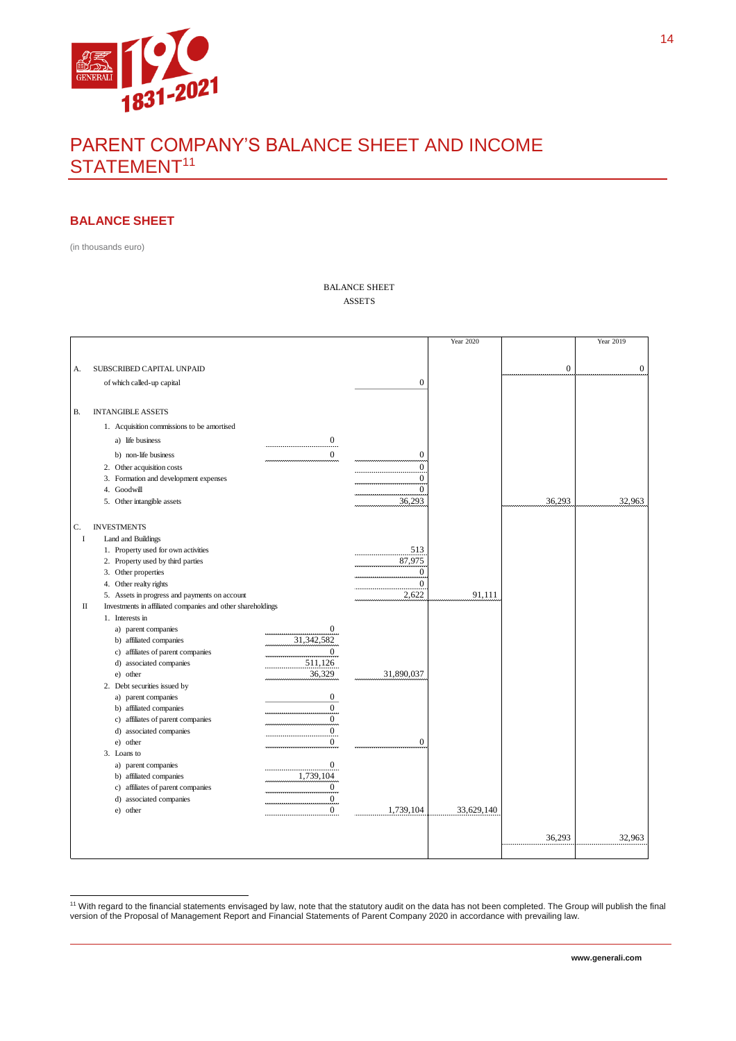

# PARENT COMPANY'S BALANCE SHEET AND INCOME STATEMENT<sup>11</sup>

#### **BALANCE SHEET**

(in thousands euro)

BALANCE SHEET ASSETS

|    |                                                             |                  |                  | <b>Year 2020</b> |                  | Year 2019        |
|----|-------------------------------------------------------------|------------------|------------------|------------------|------------------|------------------|
|    |                                                             |                  |                  |                  |                  |                  |
|    |                                                             |                  |                  |                  |                  |                  |
| A. | SUBSCRIBED CAPITAL UNPAID                                   |                  |                  |                  | $\boldsymbol{0}$ | $\boldsymbol{0}$ |
|    | of which called-up capital                                  |                  | $\boldsymbol{0}$ |                  |                  |                  |
|    |                                                             |                  |                  |                  |                  |                  |
| В. | <b>INTANGIBLE ASSETS</b>                                    |                  |                  |                  |                  |                  |
|    | 1. Acquisition commissions to be amortised                  |                  |                  |                  |                  |                  |
|    |                                                             | $\boldsymbol{0}$ |                  |                  |                  |                  |
|    | a) life business                                            |                  |                  |                  |                  |                  |
|    | b) non-life business                                        | $\Omega$         | $\boldsymbol{0}$ |                  |                  |                  |
|    | 2. Other acquisition costs                                  |                  | $\overline{0}$   |                  |                  |                  |
|    | 3. Formation and development expenses                       |                  | $\mathbf{0}$     |                  |                  |                  |
|    | 4. Goodwill                                                 |                  | $\overline{0}$   |                  |                  |                  |
|    | 5. Other intangible assets                                  |                  | 36,293           |                  | 36,293           | 32,963           |
|    |                                                             |                  |                  |                  |                  |                  |
| C. | <b>INVESTMENTS</b>                                          |                  |                  |                  |                  |                  |
| I  | Land and Buildings                                          |                  |                  |                  |                  |                  |
|    | 1. Property used for own activities                         |                  | 513              |                  |                  |                  |
|    | 2. Property used by third parties                           |                  | 87,975           |                  |                  |                  |
|    | 3. Other properties                                         |                  | $\boldsymbol{0}$ |                  |                  |                  |
|    | 4. Other realty rights                                      |                  | $\overline{0}$   |                  |                  |                  |
|    | 5. Assets in progress and payments on account               |                  | 2,622            | 91,111           |                  |                  |
| П  | Investments in affiliated companies and other shareholdings |                  |                  |                  |                  |                  |
|    | 1. Interests in                                             |                  |                  |                  |                  |                  |
|    | a) parent companies                                         | 0                |                  |                  |                  |                  |
|    | b) affiliated companies                                     | 31,342,582       |                  |                  |                  |                  |
|    | c) affiliates of parent companies                           | 0                |                  |                  |                  |                  |
|    | d) associated companies                                     | 511,126          |                  |                  |                  |                  |
|    | e) other                                                    | 36,329           | 31,890,037       |                  |                  |                  |
|    | 2. Debt securities issued by                                |                  |                  |                  |                  |                  |
|    | a) parent companies                                         | 0                |                  |                  |                  |                  |
|    | b) affiliated companies                                     | $\bf{0}$         |                  |                  |                  |                  |
|    | c) affiliates of parent companies                           | $\overline{0}$   |                  |                  |                  |                  |
|    | d) associated companies                                     | $\overline{0}$   |                  |                  |                  |                  |
|    | e) other                                                    | $\boldsymbol{0}$ | $\boldsymbol{0}$ |                  |                  |                  |
|    | 3. Loans to                                                 |                  |                  |                  |                  |                  |
|    | a) parent companies                                         | $\bf{0}$         |                  |                  |                  |                  |
|    | b) affiliated companies                                     | 1,739,104        |                  |                  |                  |                  |
|    | c) affiliates of parent companies                           | $\boldsymbol{0}$ |                  |                  |                  |                  |
|    | d) associated companies                                     | $\boldsymbol{0}$ |                  |                  |                  |                  |
|    | e) other                                                    | $\overline{0}$   | 1,739,104        | 33,629,140       |                  |                  |
|    |                                                             |                  |                  |                  |                  |                  |
|    |                                                             |                  |                  |                  | 36,293           | 32,963           |
|    |                                                             |                  |                  |                  |                  |                  |
|    |                                                             |                  |                  |                  |                  |                  |

l <sup>11</sup> With regard to the financial statements envisaged by law, note that the statutory audit on the data has not been completed. The Group will publish the final version of the Proposal of Management Report and Financial Statements of Parent Company 2020 in accordance with prevailing law.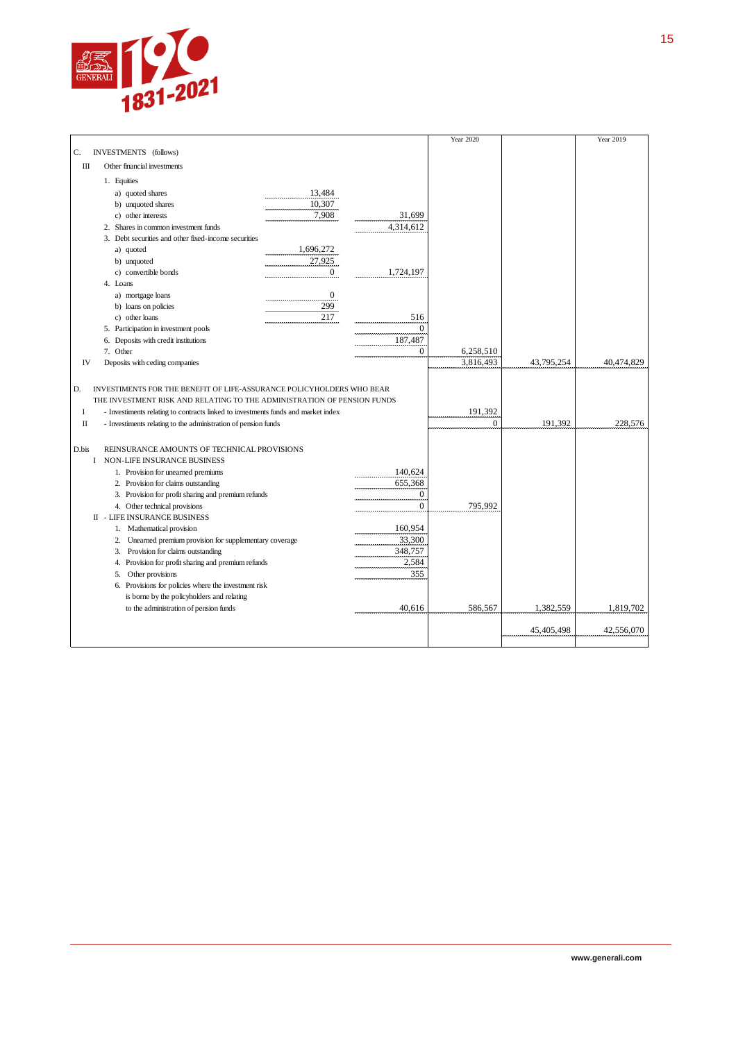

|              |                                                                                   |                  |                | Year 2020 |            | Year 2019  |
|--------------|-----------------------------------------------------------------------------------|------------------|----------------|-----------|------------|------------|
| C.           | INVESTMENTS (follows)                                                             |                  |                |           |            |            |
| Ш            | Other financial investments                                                       |                  |                |           |            |            |
|              | 1. Equities                                                                       |                  |                |           |            |            |
|              | a) quoted shares                                                                  | 13,484           |                |           |            |            |
|              | b) unquoted shares                                                                | 10,307           |                |           |            |            |
|              | c) other interests                                                                | 7,908            | 31,699         |           |            |            |
|              | 2. Shares in common investment funds                                              |                  | 4,314,612      |           |            |            |
|              | 3. Debt securities and other fixed-income securities                              |                  |                |           |            |            |
|              | a) quoted                                                                         | 1,696,272        |                |           |            |            |
|              | b) unquoted                                                                       | 27,925           |                |           |            |            |
|              | c) convertible bonds                                                              | $\overline{0}$   | 1,724,197      |           |            |            |
|              | 4. Loans                                                                          |                  |                |           |            |            |
|              | a) mortgage loans                                                                 | $\boldsymbol{0}$ |                |           |            |            |
|              | b) loans on policies                                                              | 299              |                |           |            |            |
|              | c) other loans                                                                    | 217              | 516            |           |            |            |
|              | 5. Participation in investment pools                                              |                  | $\mathbf{0}$   |           |            |            |
|              | 6. Deposits with credit institutions                                              |                  | 187,487        |           |            |            |
|              | 7. Other                                                                          |                  | $\mathbf{0}$   | 6,258,510 |            |            |
| IV           | Deposits with ceding companies                                                    |                  |                | 3,816,493 | 43,795,254 | 40,474,829 |
| D.           | INVESTIMENTS FOR THE BENEFIT OF LIFE-ASSURANCE POLICYHOLDERS WHO BEAR             |                  |                |           |            |            |
|              | THE INVESTMENT RISK AND RELATING TO THE ADMINISTRATION OF PENSION FUNDS           |                  |                |           |            |            |
| $\rm I$      | - Investiments relating to contracts linked to investments funds and market index |                  |                | 191,392   |            |            |
| $\mathbf{I}$ | - Investiments relating to the administration of pension funds                    |                  |                | $\Omega$  | 191,392    | 228,576    |
|              |                                                                                   |                  |                |           |            |            |
| D.bis        | REINSURANCE AMOUNTS OF TECHNICAL PROVISIONS                                       |                  |                |           |            |            |
| $\bf{I}$     | <b>NON-LIFE INSURANCE BUSINESS</b>                                                |                  |                |           |            |            |
|              | 1. Provision for unearned premiums                                                |                  | 140,624        |           |            |            |
|              | 2. Provision for claims outstanding                                               |                  | 655,368        |           |            |            |
|              | 3. Provision for profit sharing and premium refunds                               |                  | $\mathbf{0}$   |           |            |            |
|              | 4. Other technical provisions                                                     |                  | $\overline{0}$ | 795.992   |            |            |
|              | <b>II - LIFE INSURANCE BUSINESS</b>                                               |                  |                |           |            |            |
|              | 1. Mathematical provision                                                         |                  | 160,954        |           |            |            |
|              | 2. Unearned premium provision for supplementary coverage                          |                  | 33,300         |           |            |            |
|              | 3. Provision for claims outstanding                                               |                  | 348,757        |           |            |            |
|              | 4. Provision for profit sharing and premium refunds                               |                  | 2,584          |           |            |            |
|              | 5. Other provisions                                                               |                  | 355            |           |            |            |
|              | 6. Provisions for policies where the investment risk                              |                  |                |           |            |            |
|              | is borne by the policyholders and relating                                        |                  |                |           |            |            |
|              | to the administration of pension funds                                            |                  | 40,616         | 586,567   | 1,382,559  | 1,819,702  |
|              |                                                                                   |                  |                |           |            |            |
|              |                                                                                   |                  |                |           | 45,405,498 | 42,556,070 |
|              |                                                                                   |                  |                |           |            |            |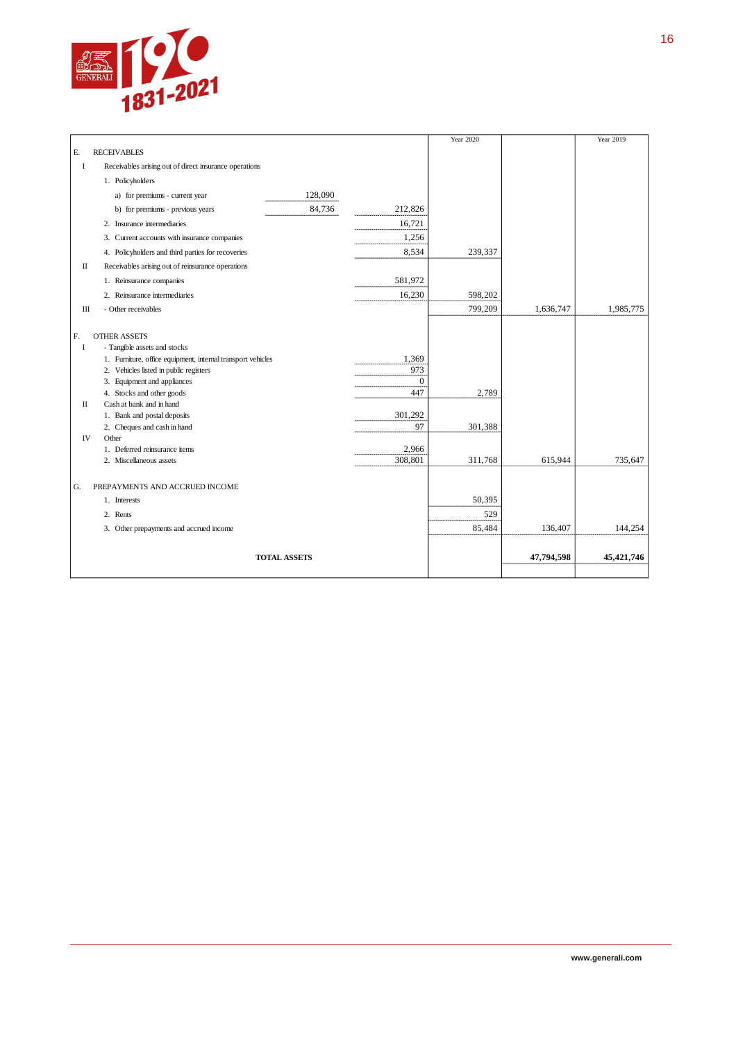

|    |                                                             |              | Year 2020 |            | Year 2019    |
|----|-------------------------------------------------------------|--------------|-----------|------------|--------------|
| E. | <b>RECEIVABLES</b>                                          |              |           |            |              |
| I  | Receivables arising out of direct insurance operations      |              |           |            |              |
|    | 1. Policyholders                                            |              |           |            |              |
|    | 128,090<br>a) for premiums - current year                   |              |           |            |              |
|    | 84,736<br>b) for premiums - previous years                  | 212,826      |           |            |              |
|    | 2. Insurance intermediaries                                 | 16,721       |           |            |              |
|    | 3. Current accounts with insurance companies                | 1,256        |           |            |              |
|    | 4. Policyholders and third parties for recoveries           | 8,534        | 239,337   |            |              |
| П  | Receivables arising out of reinsurance operations           |              |           |            |              |
|    | 1. Reinsurance companies                                    | 581,972      |           |            |              |
|    | 2. Reinsurance intermediaries                               | 16,230       | 598,202   |            |              |
| Ш  | - Other receivables                                         |              | 799,209   | 1,636,747  | 1,985,775    |
|    |                                                             |              |           |            |              |
| F. | <b>OTHER ASSETS</b>                                         |              |           |            |              |
| I  | - Tangible assets and stocks                                |              |           |            |              |
|    | 1. Furniture, office equipment, internal transport vehicles | 1,369        |           |            |              |
|    | 2. Vehicles listed in public registers                      | 973          |           |            |              |
|    | 3. Equipment and appliances                                 | $\mathbf{0}$ |           |            |              |
|    | 4. Stocks and other goods                                   | 447          | 2,789     |            |              |
| П  | Cash at bank and in hand                                    |              |           |            |              |
|    | 1. Bank and postal deposits                                 | 301,292      |           |            |              |
|    | 2. Cheques and cash in hand                                 | 97           | 301,388   |            |              |
| IV | Other                                                       |              |           |            |              |
|    | 1. Deferred reinsurance items                               | 2,966        |           |            |              |
|    | 2. Miscellaneous assets                                     | 308,801      | 311,768   | 615,944    | 735,647      |
|    |                                                             |              |           |            |              |
| G. | PREPAYMENTS AND ACCRUED INCOME                              |              |           |            |              |
|    | 1. Interests                                                |              | 50,395    |            |              |
|    | 2. Rents                                                    |              | 529       |            |              |
|    | 3. Other prepayments and accrued income                     |              | 85,484    | 136,407    | 144,254      |
|    |                                                             |              |           |            |              |
|    | <b>TOTAL ASSETS</b>                                         |              |           | 47,794,598 | 45, 421, 746 |
|    |                                                             |              |           |            |              |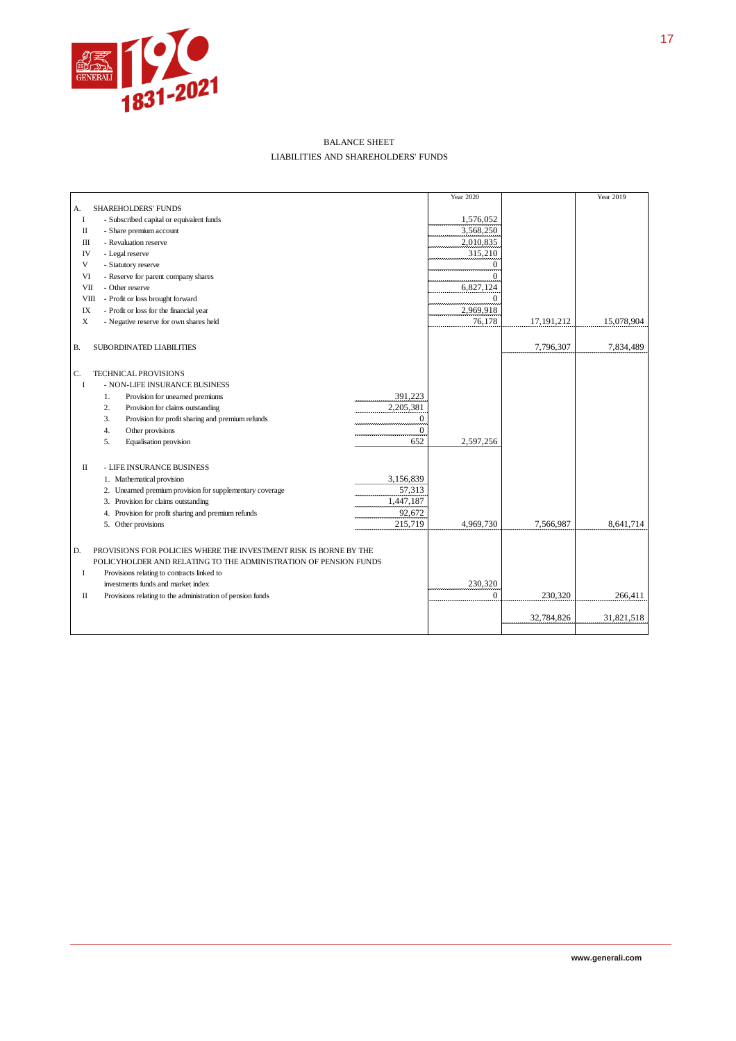

#### BALANCE SHEET LIABILITIES AND SHAREHOLDERS' FUNDS

|                                                                         | Year 2020 |              | Year 2019  |
|-------------------------------------------------------------------------|-----------|--------------|------------|
| <b>SHAREHOLDERS' FUNDS</b><br>А.                                        |           |              |            |
| <b>I</b><br>- Subscribed capital or equivalent funds                    | 1,576,052 |              |            |
| $\mathbf{I}$<br>- Share premium account                                 | 3,568,250 |              |            |
| - Revaluation reserve<br>Ш                                              | 2,010,835 |              |            |
| IV<br>- Legal reserve                                                   | 315,210   |              |            |
| V<br>- Statutory reserve                                                | $\Omega$  |              |            |
| VI<br>- Reserve for parent company shares                               | $\Omega$  |              |            |
| VII<br>- Other reserve                                                  | 6,827,124 |              |            |
| - Profit or loss brought forward<br><b>VIII</b>                         | $\Omega$  |              |            |
| IX<br>- Profit or loss for the financial year                           | 2,969,918 |              |            |
| $\mathbf X$<br>- Negative reserve for own shares held                   | 76,178    | 17, 191, 212 | 15,078,904 |
|                                                                         |           |              |            |
| SUBORDINATED LIABILITIES<br>В.                                          |           | 7,796,307    | 7,834,489  |
|                                                                         |           |              |            |
|                                                                         |           |              |            |
| C.<br><b>TECHNICAL PROVISIONS</b>                                       |           |              |            |
| - NON-LIFE INSURANCE BUSINESS<br>I<br>391,223                           |           |              |            |
| Provision for unearned premiums<br>1.                                   |           |              |            |
| 2,205,381<br>Provision for claims outstanding<br>2.                     |           |              |            |
| Provision for profit sharing and premium refunds<br>$\mathbf{0}$<br>3.  |           |              |            |
| $\Omega$<br>Other provisions<br>4.                                      |           |              |            |
| 652<br>Equalisation provision<br>5.                                     | 2,597,256 |              |            |
| $\mathbf{I}$<br>- LIFE INSURANCE BUSINESS                               |           |              |            |
| 3,156,839<br>1. Mathematical provision                                  |           |              |            |
| 57,313<br>2. Unearned premium provision for supplementary coverage      |           |              |            |
| 3. Provision for claims outstanding<br>1,447,187                        |           |              |            |
| 92,672<br>4. Provision for profit sharing and premium refunds           |           |              |            |
| 215,719<br>5. Other provisions                                          | 4,969,730 | 7,566,987    | 8,641,714  |
|                                                                         |           |              |            |
|                                                                         |           |              |            |
| PROVISIONS FOR POLICIES WHERE THE INVESTMENT RISK IS BORNE BY THE<br>D. |           |              |            |
| POLICYHOLDER AND RELATING TO THE ADMINISTRATION OF PENSION FUNDS        |           |              |            |
| I<br>Provisions relating to contracts linked to                         |           |              |            |
| investments funds and market index                                      | 230,320   |              |            |
| П<br>Provisions relating to the administration of pension funds         | $\theta$  | 230,320      | 266,411    |
|                                                                         |           |              |            |
|                                                                         |           | 32,784,826   | 31,821,518 |
|                                                                         |           |              |            |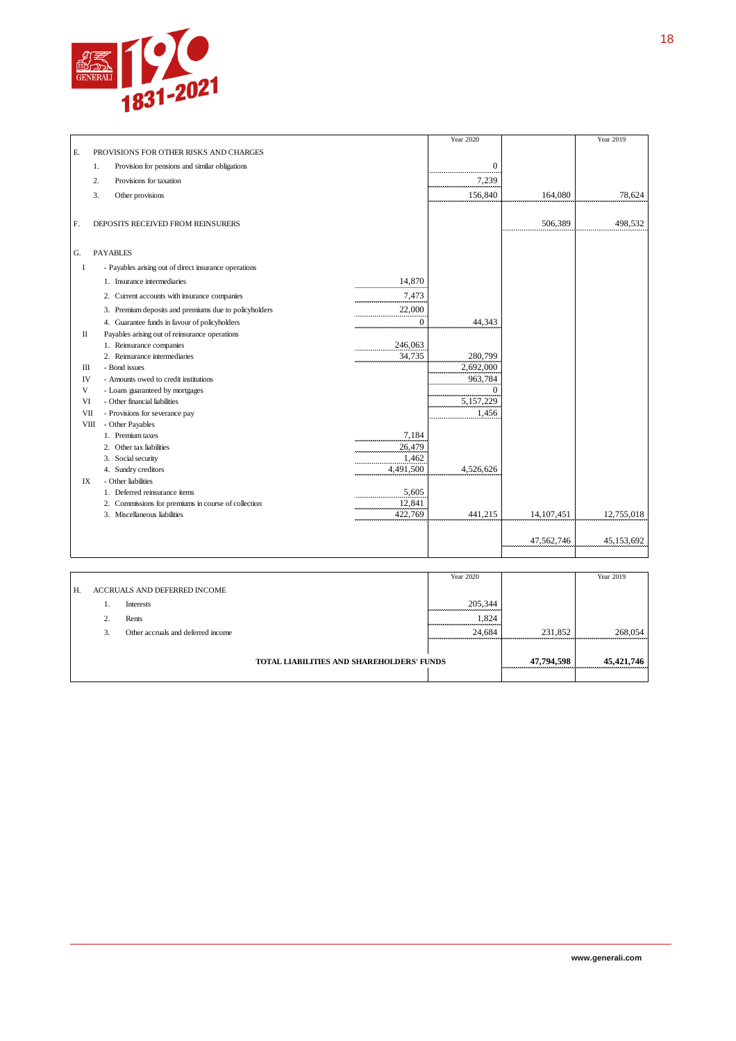

|             |    |                                                       |           | Year 2020      |            | Year 2019  |
|-------------|----|-------------------------------------------------------|-----------|----------------|------------|------------|
| E.          |    | PROVISIONS FOR OTHER RISKS AND CHARGES                |           |                |            |            |
|             | 1. | Provision for pensions and similar obligations        |           | $\overline{0}$ |            |            |
|             | 2. | Provisions for taxation                               |           | 7,239          |            |            |
|             | 3. | Other provisions                                      |           | 156,840        | 164,080    | 78,624     |
|             |    |                                                       |           |                |            |            |
| F.          |    | DEPOSITS RECEIVED FROM REINSURERS                     |           |                | 506,389    | 498,532    |
|             |    |                                                       |           |                |            |            |
|             |    | <b>PAYABLES</b>                                       |           |                |            |            |
| G.          |    |                                                       |           |                |            |            |
| I           |    | - Payables arising out of direct insurance operations |           |                |            |            |
|             |    | 1. Insurance intermediaries                           | 14.870    |                |            |            |
|             |    | 2. Current accounts with insurance companies          | 7,473     |                |            |            |
|             |    | 3. Premium deposits and premiums due to policyholders | 22,000    |                |            |            |
|             |    | 4. Guarantee funds in favour of policyholders         | $\Omega$  | 44,343         |            |            |
| П           |    | Payables arising out of reinsurance operations        |           |                |            |            |
|             |    | 1. Reinsurance companies                              | 246,063   |                |            |            |
|             |    | 2. Reinsurance intermediaries                         | 34,735    | 280,799        |            |            |
| Ш           |    | - Bond issues                                         |           | 2,692,000      |            |            |
| IV          |    | - Amounts owed to credit institutions                 |           | 963,784        |            |            |
| V           |    | - Loans guaranteed by mortgages                       |           | $\Omega$       |            |            |
| VI          |    | - Other financial liabilities                         |           | 5,157,229      |            |            |
| VII         |    | - Provisions for severance pay                        |           | 1,456          |            |            |
| <b>VIII</b> |    | - Other Payables                                      |           |                |            |            |
|             |    | 1. Premium taxes                                      | 7,184     |                |            |            |
|             |    | 2. Other tax liabilities                              | 26,479    |                |            |            |
|             |    | 3. Social security                                    | 1,462     |                |            |            |
|             |    | 4. Sundry creditors                                   | 4,491,500 | 4,526,626      |            |            |
| IX          |    | - Other liabilities                                   |           |                |            |            |
|             |    | 1. Deferred reinsurance items                         | 5,605     |                |            |            |
|             |    | 2. Commissions for premiums in course of collection   | 12,841    |                |            |            |
|             |    | 3. Miscellaneous liabilities                          | 422,769   | 441,215        | 14,107,451 | 12,755,018 |
|             |    |                                                       |           |                |            |            |
|             |    |                                                       |           |                | 47,562,746 | 45,153,692 |
|             |    |                                                       |           |                |            |            |

|    |                |                                    |                                                  | Year 2020 |            | Year 2019    |
|----|----------------|------------------------------------|--------------------------------------------------|-----------|------------|--------------|
| H. |                | ACCRUALS AND DEFERRED INCOME       |                                                  |           |            |              |
|    |                | Interests                          |                                                  | 205,344   |            |              |
|    | $\gamma$<br>z. | Rents                              |                                                  | 1,824     |            |              |
|    | 3.             | Other accruals and deferred income |                                                  | 24,684    | 231,852    | 268,054      |
|    |                |                                    |                                                  |           |            |              |
|    |                |                                    | <b>TOTAL LIABILITIES AND SHAREHOLDERS' FUNDS</b> |           | 47,794,598 | 45, 421, 746 |
|    |                |                                    |                                                  |           |            |              |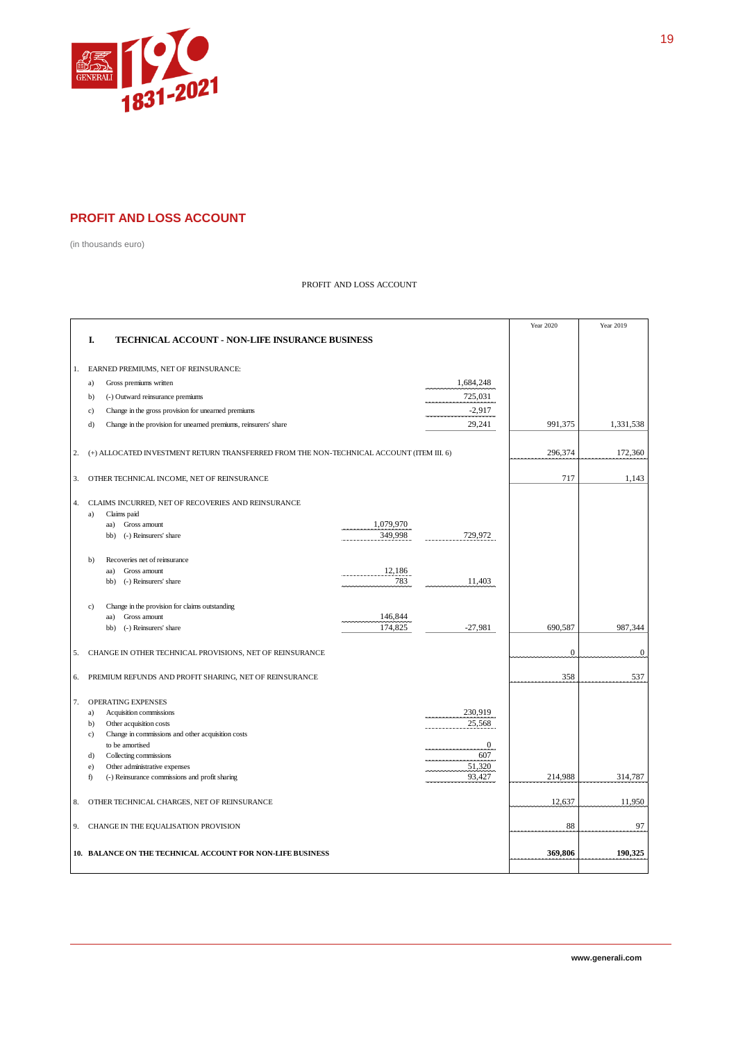

#### **PROFIT AND LOSS ACCOUNT**

(in thousands euro)

#### PROFIT AND LOSS ACCOUNT

|    |                                                                                          |           |                   | Year 2020      | Year 2019        |
|----|------------------------------------------------------------------------------------------|-----------|-------------------|----------------|------------------|
|    | I.<br><b>TECHNICAL ACCOUNT - NON-LIFE INSURANCE BUSINESS</b>                             |           |                   |                |                  |
|    |                                                                                          |           |                   |                |                  |
| 1. | EARNED PREMIUMS, NET OF REINSURANCE:                                                     |           |                   |                |                  |
|    | Gross premiums written<br>a)                                                             |           | 1,684,248         |                |                  |
|    | (-) Outward reinsurance premiums<br>b)                                                   |           | 725,031           |                |                  |
|    | Change in the gross provision for unearned premiums<br>c)                                |           | $-2,917$          |                |                  |
|    | Change in the provision for unearned premiums, reinsurers' share<br>d)                   |           | 29,241            | 991,375        | 1,331,538        |
|    |                                                                                          |           |                   |                |                  |
| 2. | (+) ALLOCATED INVESTMENT RETURN TRANSFERRED FROM THE NON-TECHNICAL ACCOUNT (ITEM III. 6) |           |                   | 296,374        | 172,360          |
|    |                                                                                          |           |                   |                |                  |
| 3. | OTHER TECHNICAL INCOME, NET OF REINSURANCE                                               |           |                   | 717            | 1,143            |
|    |                                                                                          |           |                   |                |                  |
| 4. | CLAIMS INCURRED, NET OF RECOVERIES AND REINSURANCE                                       |           |                   |                |                  |
|    | Claims paid<br>a)                                                                        | 1,079,970 |                   |                |                  |
|    | Gross amount<br>aa)<br>(-) Reinsurers' share<br>bb)                                      | 349,998   | 729,972           |                |                  |
|    |                                                                                          |           |                   |                |                  |
|    | Recoveries net of reinsurance<br>b)                                                      |           |                   |                |                  |
|    | Gross amount<br>aa)                                                                      | 12,186    |                   |                |                  |
|    | (-) Reinsurers' share<br>bb)                                                             | 783       | 11,403            |                |                  |
|    |                                                                                          |           |                   |                |                  |
|    | Change in the provision for claims outstanding<br>c)<br>aa)<br>Gross amount              | 146,844   |                   |                |                  |
|    | bb)<br>(-) Reinsurers' share                                                             | 174,825   | $-27,981$         | 690,587        | 987,344          |
|    |                                                                                          |           |                   |                |                  |
| 5. | CHANGE IN OTHER TECHNICAL PROVISIONS, NET OF REINSURANCE                                 |           |                   | $\overline{0}$ | $\boldsymbol{0}$ |
|    |                                                                                          |           |                   |                |                  |
| 6. | PREMIUM REFUNDS AND PROFIT SHARING, NET OF REINSURANCE                                   |           |                   | 358            | 537              |
|    |                                                                                          |           |                   |                |                  |
| 7. | <b>OPERATING EXPENSES</b>                                                                |           |                   |                |                  |
|    | Acquisition commissions<br>a)                                                            |           | 230,919<br>25,568 |                |                  |
|    | Other acquisition costs<br>b)<br>Change in commissions and other acquisition costs<br>c) |           |                   |                |                  |
|    | to be amortised                                                                          |           | $\mathbf{0}$      |                |                  |
|    | Collecting commissions<br>d)                                                             |           | 607               |                |                  |
|    | Other administrative expenses<br>e)                                                      |           | 51,320            |                |                  |
|    | f)<br>(-) Reinsurance commissions and profit sharing                                     |           | 93,427            | 214,988        | 314,787          |
|    |                                                                                          |           |                   |                |                  |
| 8. | OTHER TECHNICAL CHARGES, NET OF REINSURANCE                                              |           |                   | 12,637         | 11,950           |
|    |                                                                                          |           |                   |                |                  |
|    | 9. CHANGE IN THE EQUALISATION PROVISION                                                  |           |                   | 88             | 97               |
|    |                                                                                          |           |                   |                |                  |
|    | 10. BALANCE ON THE TECHNICAL ACCOUNT FOR NON-LIFE BUSINESS                               |           |                   | 369,806        | 190,325          |
|    |                                                                                          |           |                   |                |                  |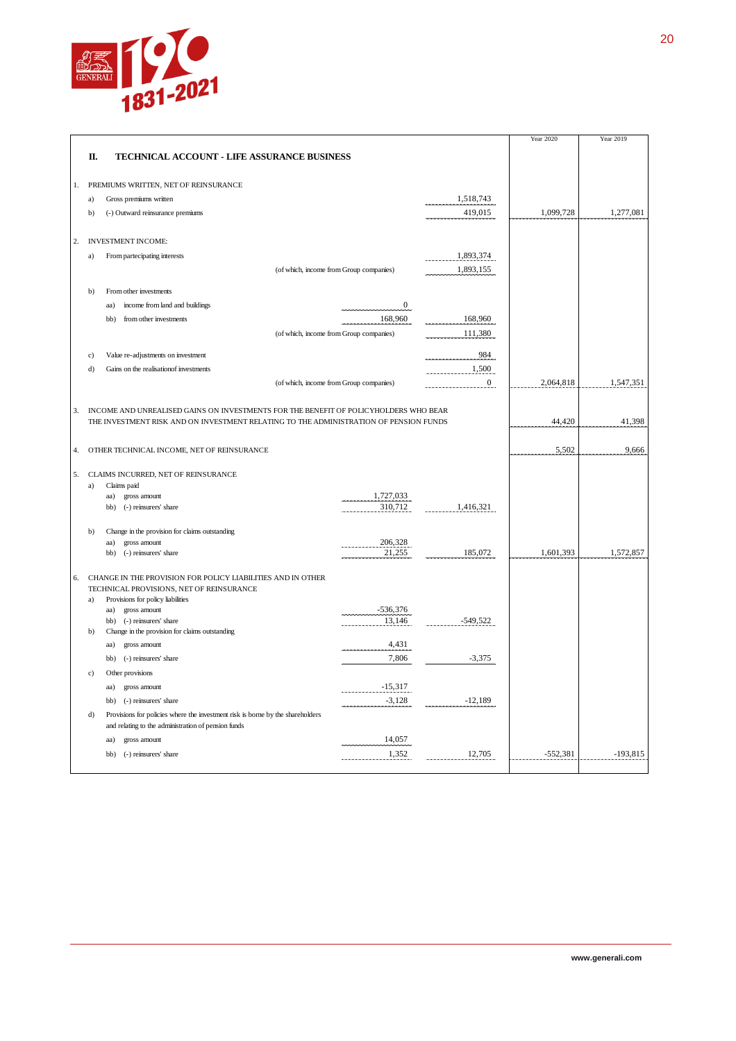

|    |              |                                                                                       |                                         |                | Year 2020  | Year 2019  |
|----|--------------|---------------------------------------------------------------------------------------|-----------------------------------------|----------------|------------|------------|
|    | Π.           | TECHNICAL ACCOUNT - LIFE ASSURANCE BUSINESS                                           |                                         |                |            |            |
| 1. |              | PREMIUMS WRITTEN, NET OF REINSURANCE                                                  |                                         |                |            |            |
|    | a)           | Gross premiums written                                                                |                                         | 1,518,743      |            |            |
|    | b)           | (-) Outward reinsurance premiums                                                      |                                         | 419,015        | 1,099,728  | 1,277,081  |
| 2. |              | <b>INVESTMENT INCOME:</b>                                                             |                                         |                |            |            |
|    | a)           | From partecipating interests                                                          |                                         | 1,893,374      |            |            |
|    |              |                                                                                       | (of which, income from Group companies) | 1,893,155      |            |            |
|    | $b$          | From other investments                                                                |                                         |                |            |            |
|    |              | income from land and buildings<br>aa)                                                 | $\overline{0}$                          |                |            |            |
|    |              | from other investments<br>bb)                                                         | 168,960                                 | 168,960        |            |            |
|    |              |                                                                                       | (of which, income from Group companies) | 111,380        |            |            |
|    | c)           | Value re-adjustments on investment                                                    |                                         | 984            |            |            |
|    | d)           | Gains on the realisation of investments                                               |                                         | 1,500          |            |            |
|    |              |                                                                                       | (of which, income from Group companies) | $\overline{0}$ | 2,064,818  | 1,547,351  |
|    |              |                                                                                       |                                         |                |            |            |
| 3. |              | INCOME AND UNREALISED GAINS ON INVESTMENTS FOR THE BENEFIT OF POLICYHOLDERS WHO BEAR  |                                         |                |            |            |
|    |              | THE INVESTMENT RISK AND ON INVESTMENT RELATING TO THE ADMINISTRATION OF PENSION FUNDS |                                         |                | 44,420     | 41,398     |
| 4. |              | OTHER TECHNICAL INCOME, NET OF REINSURANCE                                            |                                         |                | 5,502      | 9,666      |
|    |              |                                                                                       |                                         |                |            |            |
| 5. |              | CLAIMS INCURRED, NET OF REINSURANCE                                                   |                                         |                |            |            |
|    | a)           | Claims paid                                                                           | 1,727,033                               |                |            |            |
|    |              | aa)<br>gross amount<br>bb)<br>(-) reinsurers' share                                   | 310,712                                 | 1,416,321      |            |            |
|    |              |                                                                                       |                                         |                |            |            |
|    | b)           | Change in the provision for claims outstanding                                        |                                         |                |            |            |
|    |              | gross amount<br>aa)                                                                   | 206,328<br>21,255                       |                |            |            |
|    |              | bb) (-) reinsurers' share                                                             |                                         | 185,072        | 1,601,393  | 1,572,857  |
| 6. |              | CHANGE IN THE PROVISION FOR POLICY LIABILITIES AND IN OTHER                           |                                         |                |            |            |
|    |              | TECHNICAL PROVISIONS, NET OF REINSURANCE                                              |                                         |                |            |            |
|    | a)           | Provisions for policy liabilities<br>gross amount<br>aa)                              | $-536,376$                              |                |            |            |
|    |              | bb) (-) reinsurers' share                                                             | 13,146                                  | $-549,522$     |            |            |
|    | $\mathbf{b}$ | Change in the provision for claims outstanding                                        |                                         |                |            |            |
|    |              | gross amount<br>aa)                                                                   | 4,431                                   |                |            |            |
|    |              | bb) (-) reinsurers' share                                                             | 7,806                                   | $-3,375$       |            |            |
|    | c)           | Other provisions                                                                      |                                         |                |            |            |
|    |              | gross amount<br>aa)                                                                   | $-15,317$                               |                |            |            |
|    |              | (-) reinsurers' share<br>bb)                                                          | $-3,128$                                | $-12,189$      |            |            |
|    | d)           | Provisions for policies where the investment risk is borne by the shareholders        |                                         |                |            |            |
|    |              | and relating to the administration of pension funds                                   |                                         |                |            |            |
|    |              | aa)<br>gross amount                                                                   | 14,057                                  |                |            |            |
|    |              | (-) reinsurers' share<br>bb)                                                          | 1,352                                   | 12,705         | $-552,381$ | $-193,815$ |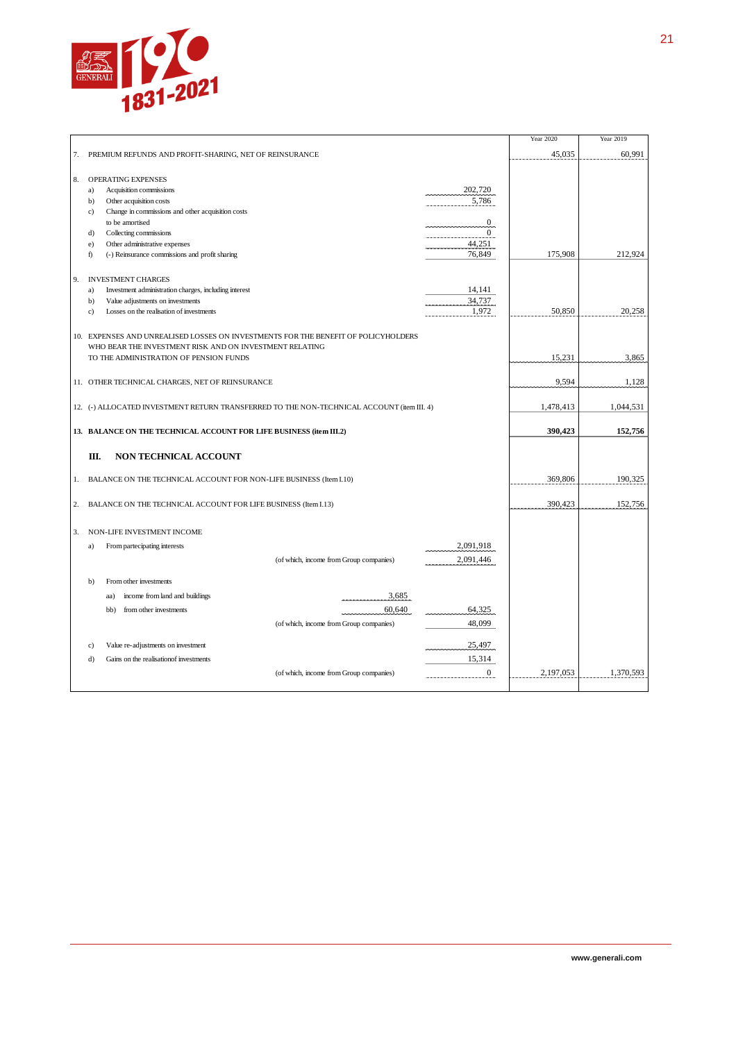

|    |                                                                                            |                  | Year 2020 | Year 2019 |
|----|--------------------------------------------------------------------------------------------|------------------|-----------|-----------|
| 7. | PREMIUM REFUNDS AND PROFIT-SHARING, NET OF REINSURANCE                                     |                  | 45,035    | 60,991    |
|    |                                                                                            |                  |           |           |
| 8. | OPERATING EXPENSES                                                                         |                  |           |           |
|    | a)<br>Acquisition commissions                                                              | 202,720          |           |           |
|    | b)<br>Other acquisition costs                                                              | 5,786            |           |           |
|    | Change in commissions and other acquisition costs<br>c)                                    |                  |           |           |
|    | to be amortised                                                                            | $\boldsymbol{0}$ |           |           |
|    | Collecting commissions<br>d)                                                               | $\overline{0}$   |           |           |
|    | Other administrative expenses<br>e)                                                        | 44,251           |           |           |
|    | f)<br>(-) Reinsurance commissions and profit sharing                                       | 76,849           | 175,908   | 212,924   |
|    |                                                                                            |                  |           |           |
| 9. | <b>INVESTMENT CHARGES</b>                                                                  |                  |           |           |
|    | Investment administration charges, including interest<br>a)                                | 14,141           |           |           |
|    | $b$<br>Value adjustments on investments                                                    | 34,737           |           |           |
|    | Losses on the realisation of investments<br>$\mathbf{c}$                                   | 1,972            | 50,850    | 20,258    |
|    |                                                                                            |                  |           |           |
|    | 10. EXPENSES AND UNREALISED LOSSES ON INVESTMENTS FOR THE BENEFIT OF POLICYHOLDERS         |                  |           |           |
|    | WHO BEAR THE INVESTMENT RISK AND ON INVESTMENT RELATING                                    |                  |           |           |
|    | TO THE ADMINISTRATION OF PENSION FUNDS                                                     |                  | 15,231    | 3,865     |
|    |                                                                                            |                  |           |           |
|    | 11. OTHER TECHNICAL CHARGES, NET OF REINSURANCE                                            |                  | 9,594     | 1,128     |
|    |                                                                                            |                  |           |           |
|    | 12. (-) ALLOCATED INVESTMENT RETURN TRANSFERRED TO THE NON-TECHNICAL ACCOUNT (item III. 4) |                  | 1,478,413 | 1,044,531 |
|    |                                                                                            |                  |           |           |
|    | 13. BALANCE ON THE TECHNICAL ACCOUNT FOR LIFE BUSINESS (item III.2)                        |                  | 390,423   | 152,756   |
|    |                                                                                            |                  |           |           |
|    |                                                                                            |                  |           |           |
|    | Ш.<br>NON TECHNICAL ACCOUNT                                                                |                  |           |           |
|    |                                                                                            |                  |           |           |
| 1. | BALANCE ON THE TECHNICAL ACCOUNT FOR NON-LIFE BUSINESS (Item I.10)                         |                  | 369,806   | 190,325   |
|    |                                                                                            |                  |           |           |
| 2. | BALANCE ON THE TECHNICAL ACCOUNT FOR LIFE BUSINESS (Item I.13)                             |                  | 390,423   | 152,756   |
|    |                                                                                            |                  |           |           |
| 3. | NON-LIFE INVESTMENT INCOME                                                                 |                  |           |           |
|    | From partecipating interests<br>a)                                                         | 2,091,918        |           |           |
|    |                                                                                            |                  |           |           |
|    | (of which, income from Group companies)                                                    | 2,091,446        |           |           |
|    | From other investments<br>$\mathbf{b}$                                                     |                  |           |           |
|    |                                                                                            |                  |           |           |
|    | 3,685<br>income from land and buildings<br>aa)                                             |                  |           |           |
|    | 60,640<br>bb)<br>from other investments                                                    | 64,325           |           |           |
|    | (of which, income from Group companies)                                                    | 48,099           |           |           |
|    |                                                                                            |                  |           |           |
|    | Value re-adjustments on investment<br>c)                                                   | 25,497           |           |           |
|    | d)<br>Gains on the realisation of investments                                              | 15,314           |           |           |
|    | (of which, income from Group companies)                                                    | $\overline{0}$   | 2,197,053 | 1,370,593 |
|    |                                                                                            |                  |           |           |
|    |                                                                                            |                  |           |           |